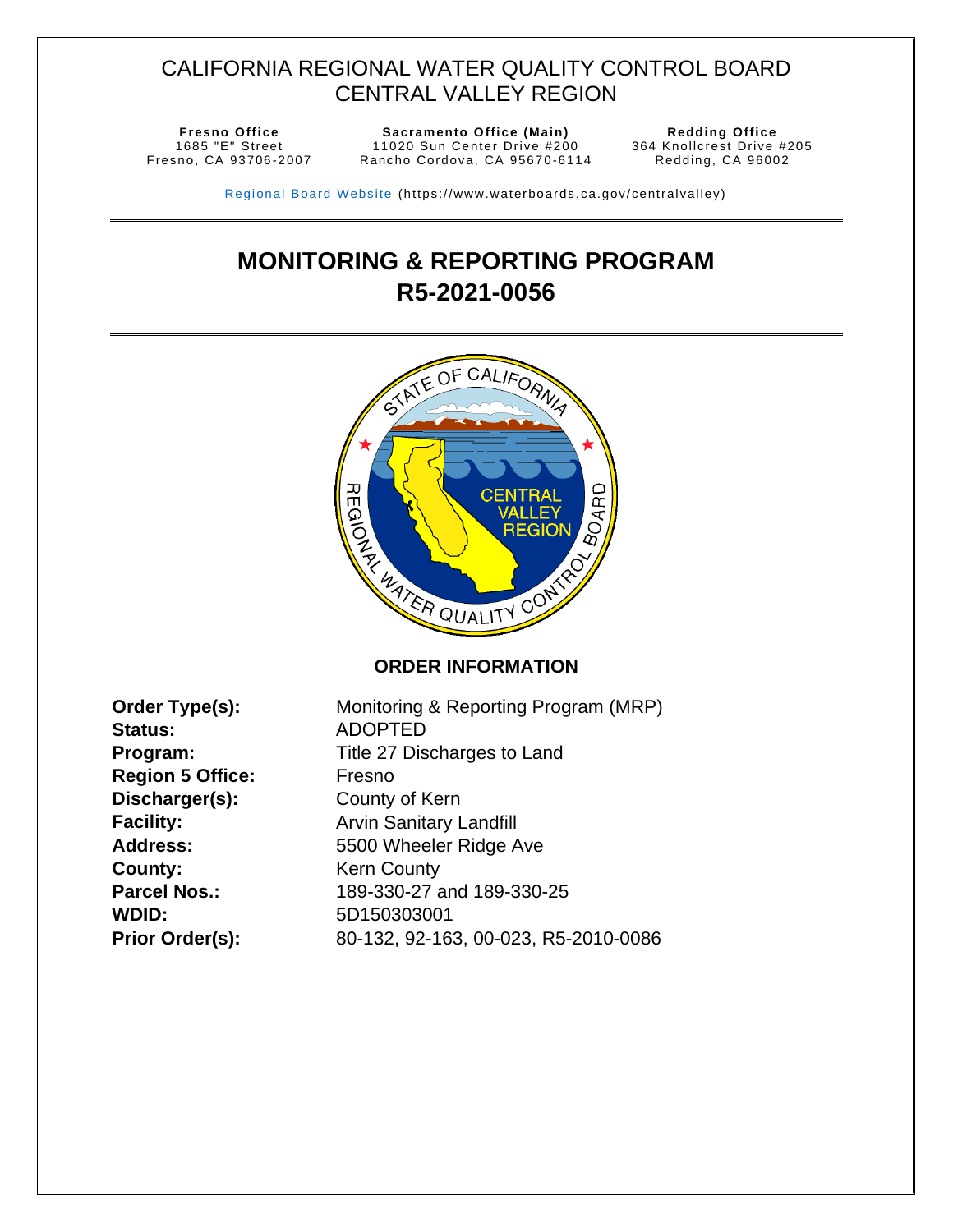## CALIFORNIA REGIONAL WATER QUALITY CONTROL BOARD CENTRAL VALLEY REGION

1685 "E" Street Fresno, CA 93706 -2007

**Fresno Office Sacramento Office (Main) Redding Office**  11020 Sun Center Drive #200 Rancho Cordova, CA 95670-6114

364 Knollcrest Drive #205 Redding, CA 96002

Regional Board Website (https://www.waterboards.ca.gov/centralvalley)

# <span id="page-0-2"></span>**MONITORING & REPORTING PROGRAM R5-2021-0056**



**Order Type(s): Status: Program: Region 5 Office: Discharger(s): Facility: Address: County: Parcel Nos.: WDID: Prior Order(s):**

<span id="page-0-1"></span><span id="page-0-0"></span>Monitoring & Reporting Program (MRP) ADOPTED Title 27 Discharges to Land Fresno County of Kern Arvin Sanitary Landfill 5500 Wheeler Ridge Ave Kern County 189-330-27 and 189-330-25 5D150303001 80-132, 92-163, 00-023, R5-2010-0086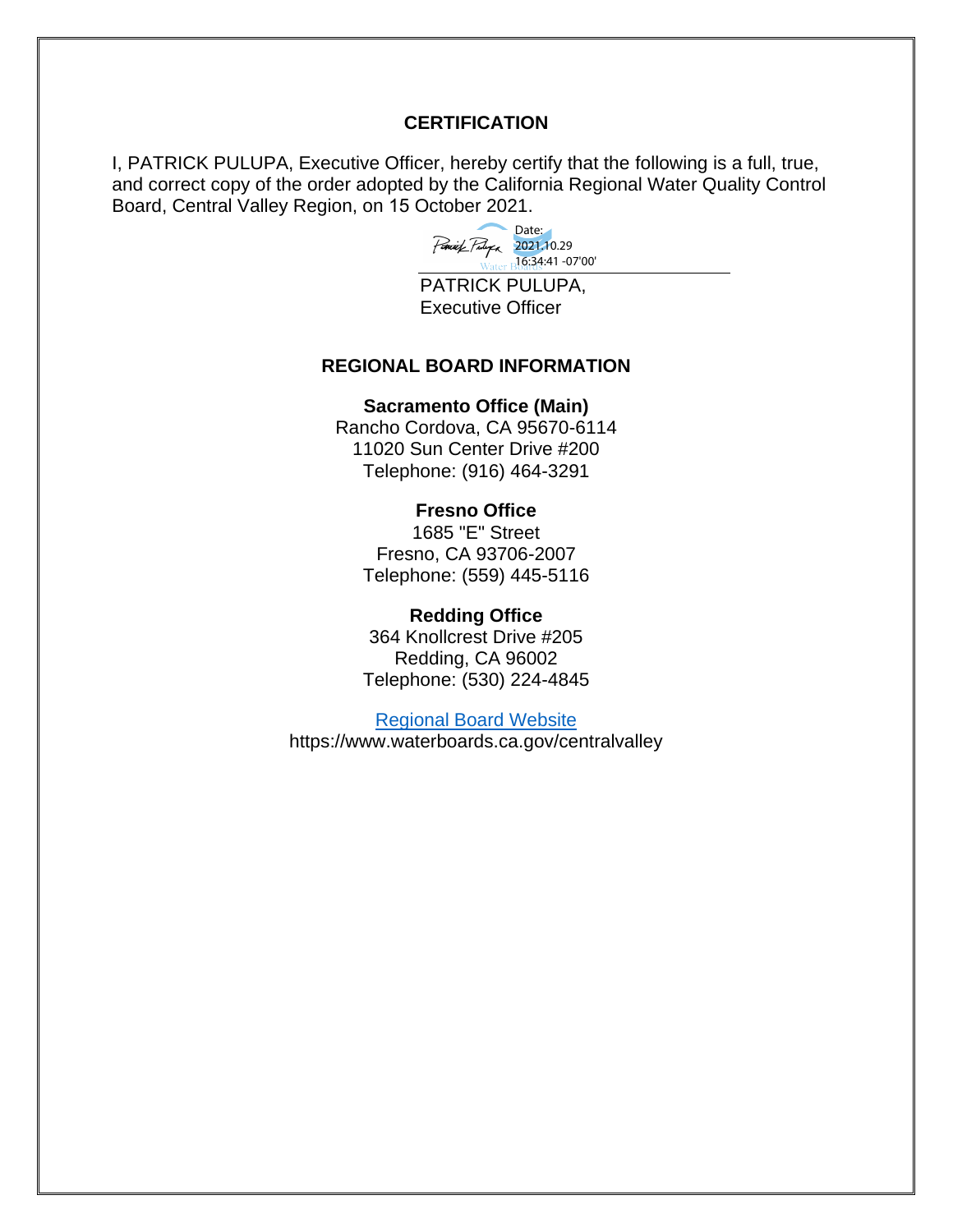#### **CERTIFICATION**

I, PATRICK PULUPA, Executive Officer, hereby certify that the following is a full, true, and correct copy of the order adopted by the California Regional Water Quality Control Board, Central Valley Region, on 15 October 2021.

Date: Paniel Fulupa 2021.10.29 16:34:41 -07'00'

PATRICK PULUPA, Executive Officer

#### **REGIONAL BOARD INFORMATION**

#### **Sacramento Office (Main)**

Rancho Cordova, CA 95670-6114 11020 Sun Center Drive #200 Telephone: (916) 464-3291

#### **Fresno Office**

1685 "E" Street Fresno, CA 93706-2007 Telephone: (559) 445-5116

#### **Redding Office**

364 Knollcrest Drive #205 Redding, CA 96002 Telephone: (530) 224-4845

[Regional Board Website](https://www.waterboards.ca.gov/centralvalley/) https://www.waterboards.ca.gov/centralvalley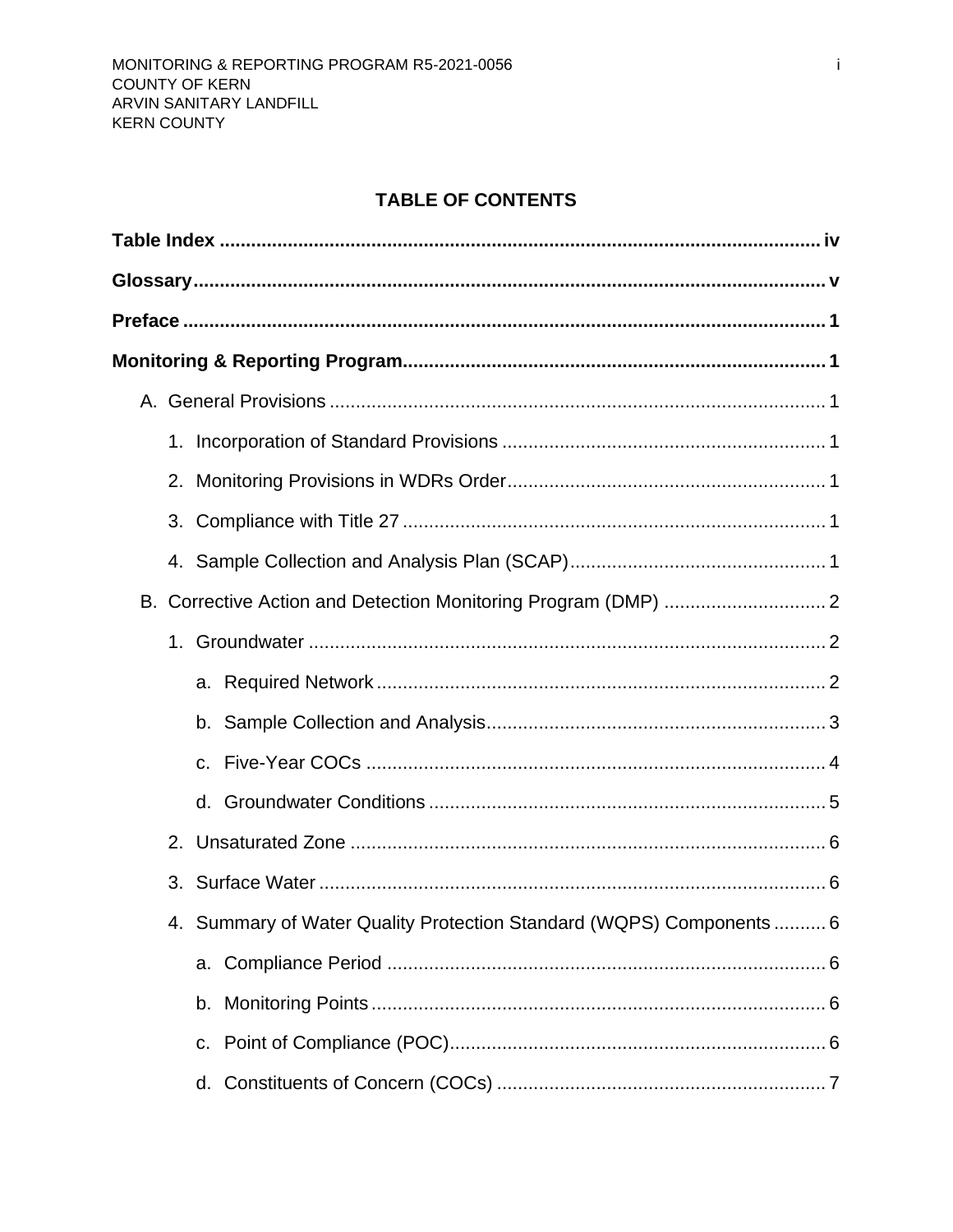### **TABLE OF CONTENTS**

|  | 2. |                                                                      |  |  |
|--|----|----------------------------------------------------------------------|--|--|
|  |    |                                                                      |  |  |
|  |    |                                                                      |  |  |
|  |    |                                                                      |  |  |
|  |    |                                                                      |  |  |
|  |    |                                                                      |  |  |
|  |    |                                                                      |  |  |
|  |    | $C_{-}$                                                              |  |  |
|  |    |                                                                      |  |  |
|  | 2. |                                                                      |  |  |
|  |    |                                                                      |  |  |
|  |    | 4. Summary of Water Quality Protection Standard (WQPS) Components  6 |  |  |
|  |    |                                                                      |  |  |
|  |    |                                                                      |  |  |
|  |    |                                                                      |  |  |
|  |    |                                                                      |  |  |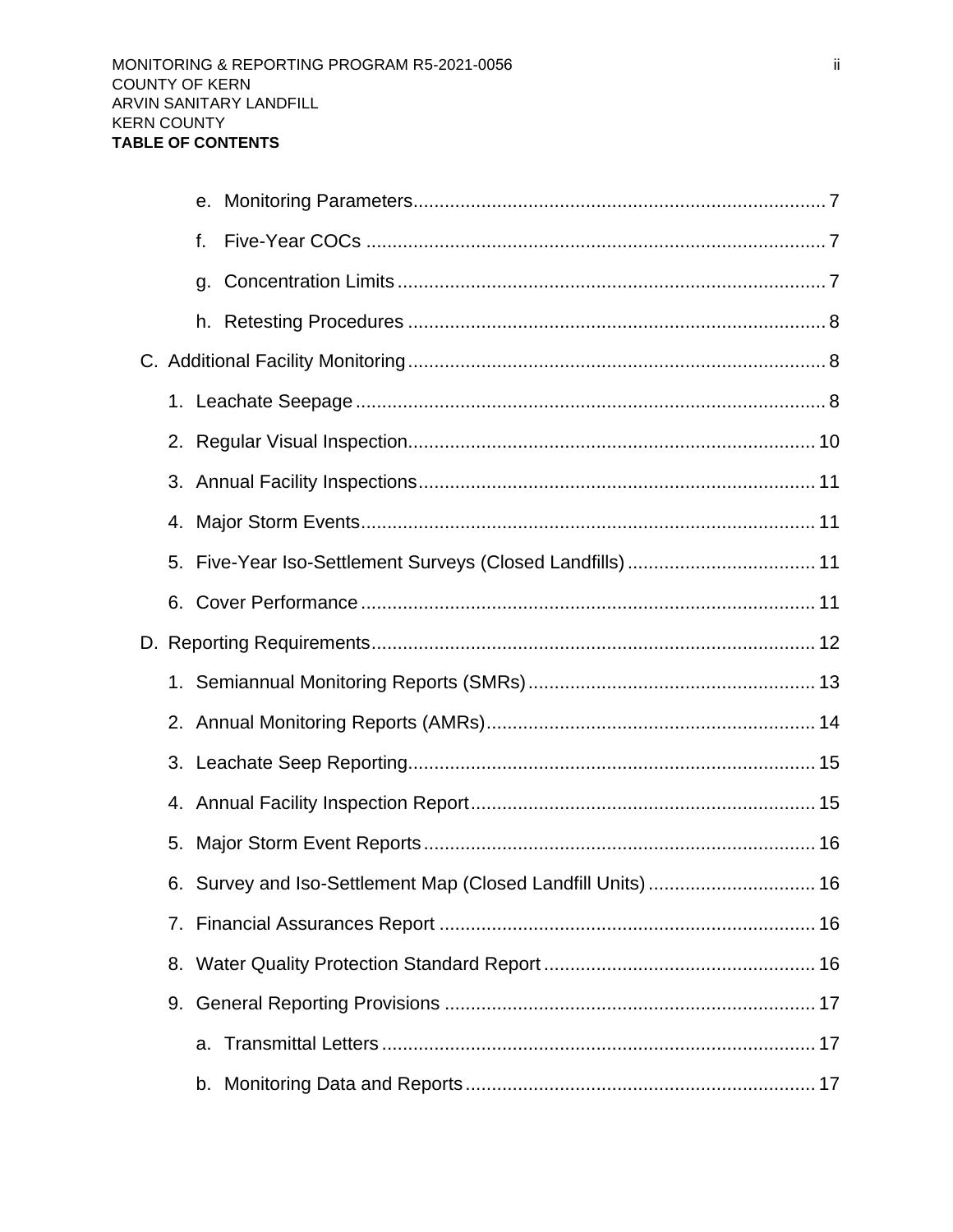|    | f.                                                           |  |
|----|--------------------------------------------------------------|--|
|    | g.                                                           |  |
|    |                                                              |  |
|    |                                                              |  |
|    |                                                              |  |
|    |                                                              |  |
|    |                                                              |  |
| 4. |                                                              |  |
| 5. |                                                              |  |
|    |                                                              |  |
|    |                                                              |  |
|    |                                                              |  |
|    |                                                              |  |
| 3. |                                                              |  |
|    |                                                              |  |
| 5. |                                                              |  |
|    | 6. Survey and Iso-Settlement Map (Closed Landfill Units)  16 |  |
|    |                                                              |  |
|    |                                                              |  |
|    |                                                              |  |
|    | a.                                                           |  |
|    |                                                              |  |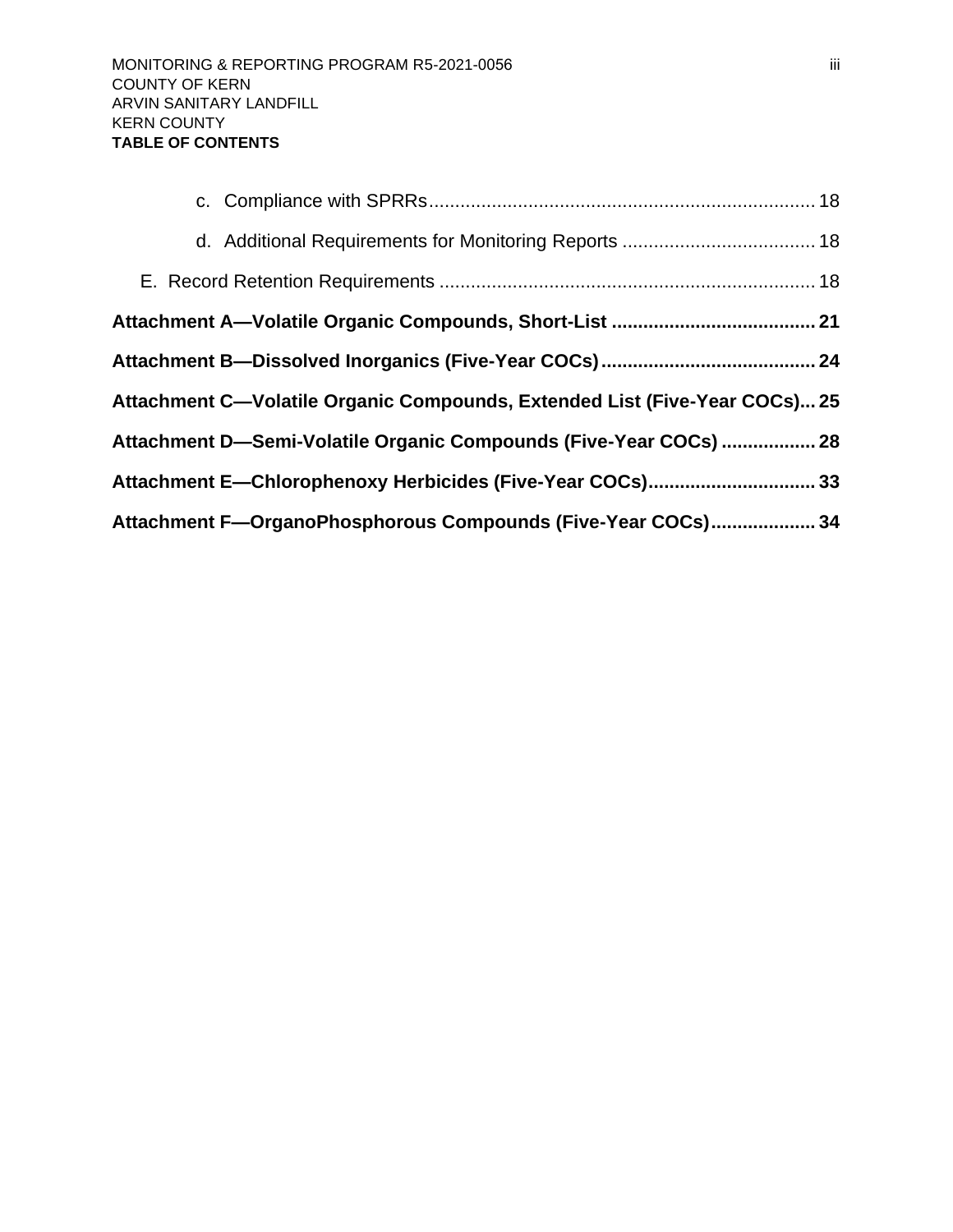|  | Attachment C-Volatile Organic Compounds, Extended List (Five-Year COCs) 25 |  |
|--|----------------------------------------------------------------------------|--|
|  | Attachment D-Semi-Volatile Organic Compounds (Five-Year COCs)  28          |  |
|  |                                                                            |  |
|  | Attachment F-OrganoPhosphorous Compounds (Five-Year COCs) 34               |  |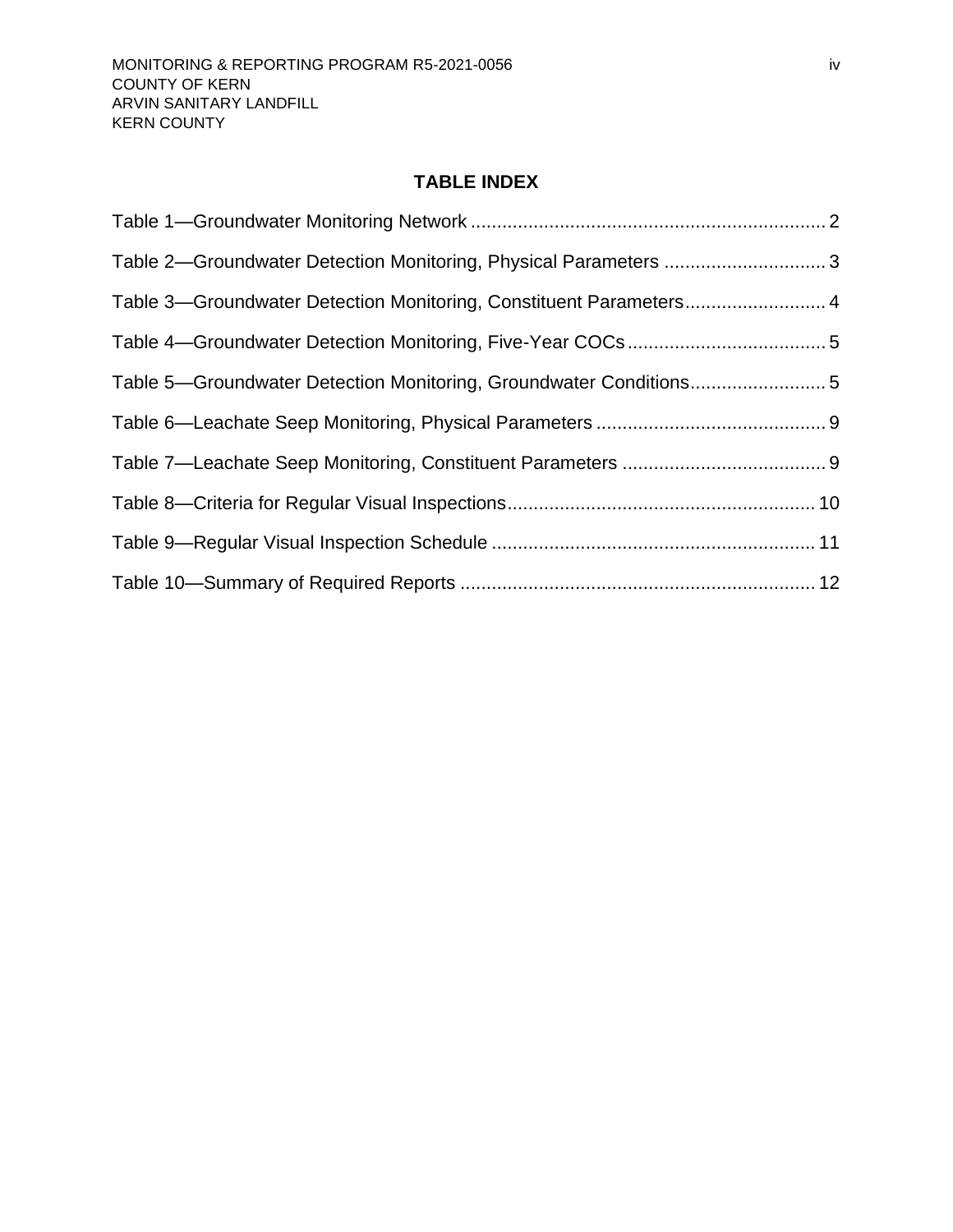### **TABLE INDEX**

<span id="page-5-0"></span>

| Table 2-Groundwater Detection Monitoring, Physical Parameters  3   |  |
|--------------------------------------------------------------------|--|
| Table 3-Groundwater Detection Monitoring, Constituent Parameters 4 |  |
|                                                                    |  |
| Table 5-Groundwater Detection Monitoring, Groundwater Conditions5  |  |
|                                                                    |  |
|                                                                    |  |
|                                                                    |  |
|                                                                    |  |
|                                                                    |  |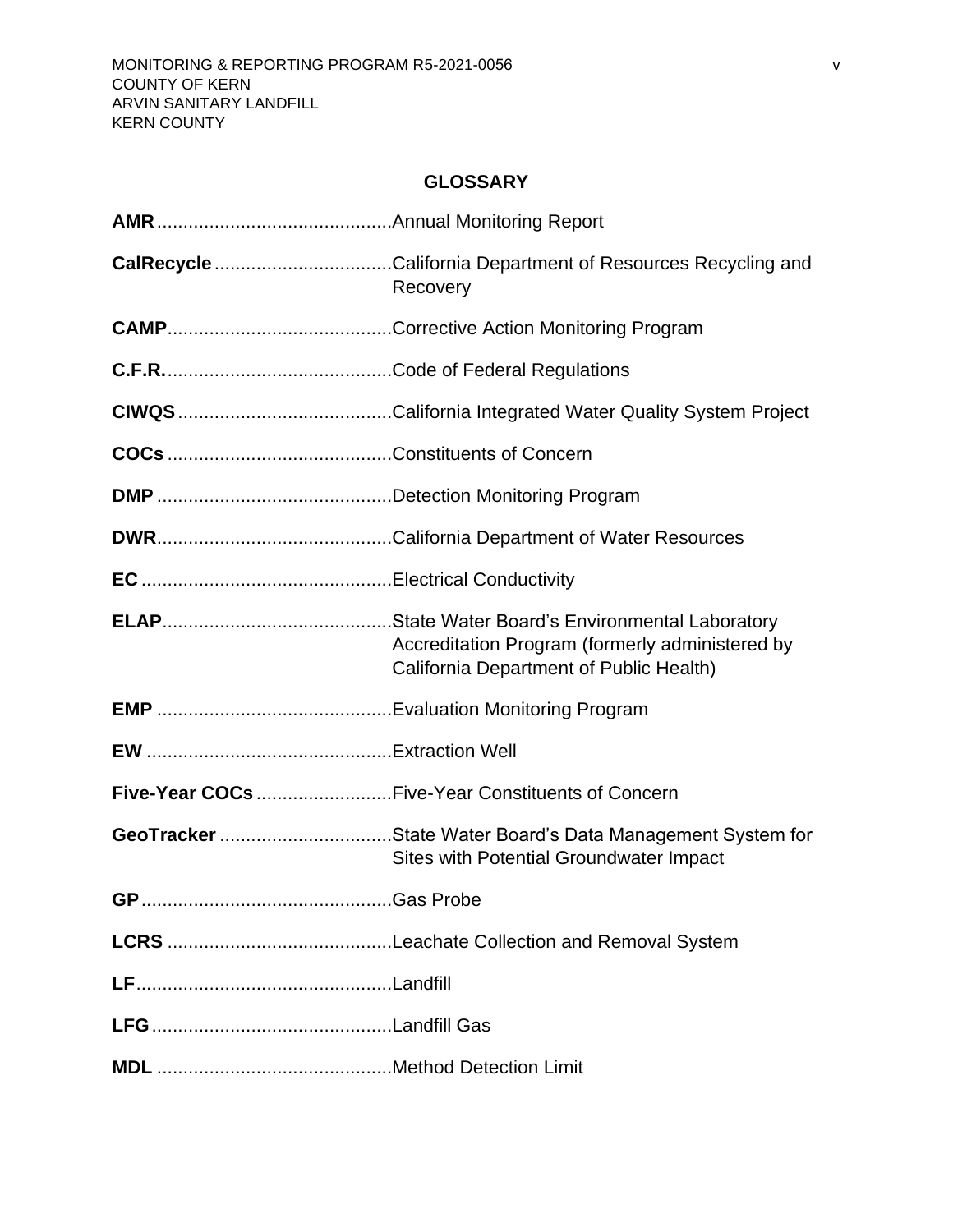### **GLOSSARY**

<span id="page-6-0"></span>

| Recovery                                                                                             |
|------------------------------------------------------------------------------------------------------|
|                                                                                                      |
|                                                                                                      |
|                                                                                                      |
|                                                                                                      |
|                                                                                                      |
|                                                                                                      |
|                                                                                                      |
| Accreditation Program (formerly administered by<br>California Department of Public Health)           |
|                                                                                                      |
|                                                                                                      |
| Five-Year COCs Five-Year Constituents of Concern                                                     |
| GeoTracker State Water Board's Data Management System for<br>Sites with Potential Groundwater Impact |
|                                                                                                      |
|                                                                                                      |
|                                                                                                      |
|                                                                                                      |
|                                                                                                      |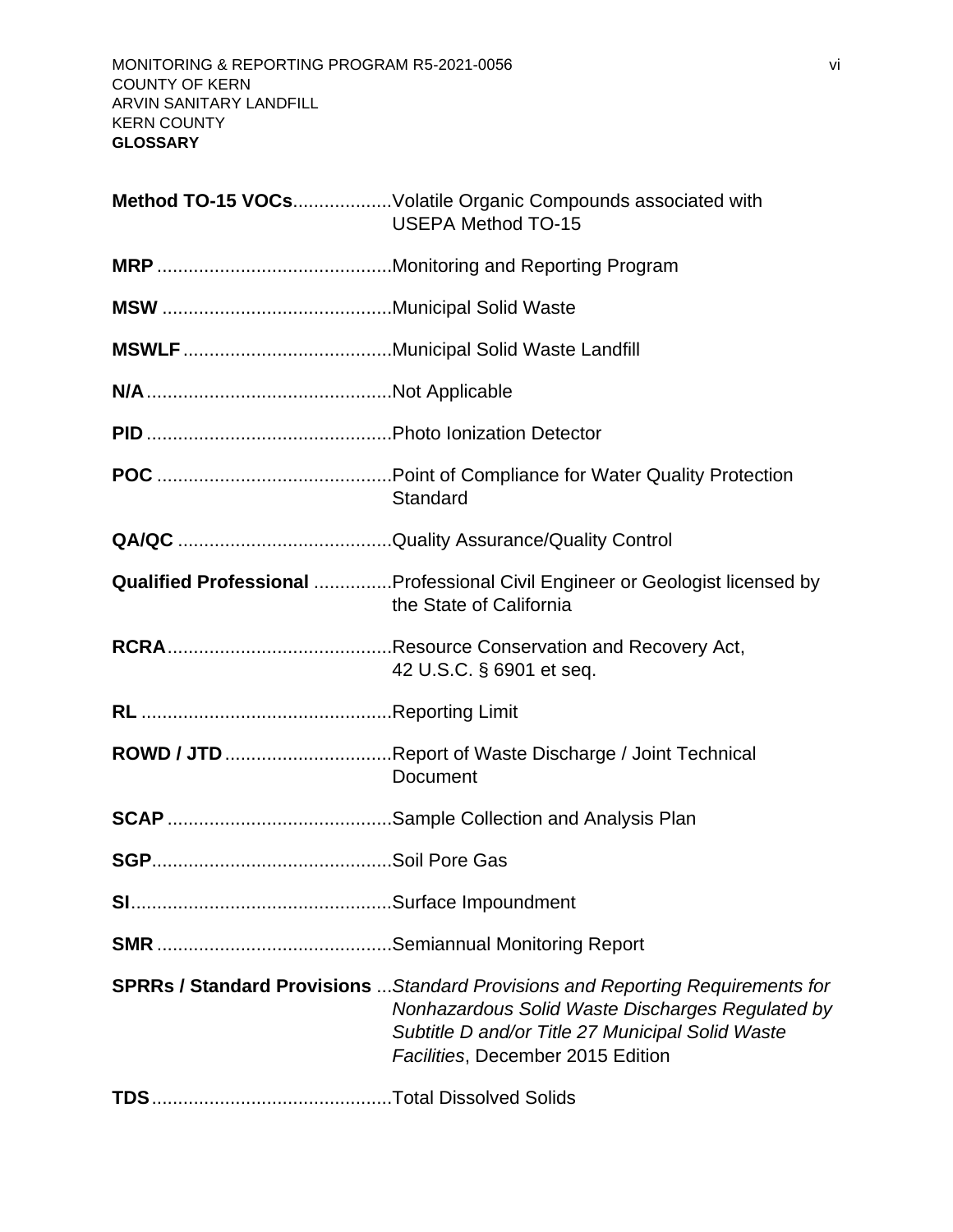| Method TO-15 VOCsVolatile Organic Compounds associated with<br><b>USEPA Method TO-15</b>                                                                                                                                           |
|------------------------------------------------------------------------------------------------------------------------------------------------------------------------------------------------------------------------------------|
|                                                                                                                                                                                                                                    |
|                                                                                                                                                                                                                                    |
|                                                                                                                                                                                                                                    |
|                                                                                                                                                                                                                                    |
|                                                                                                                                                                                                                                    |
| Standard                                                                                                                                                                                                                           |
|                                                                                                                                                                                                                                    |
| <b>Qualified Professional </b> Professional Civil Engineer or Geologist licensed by<br>the State of California                                                                                                                     |
| 42 U.S.C. § 6901 et seq.                                                                                                                                                                                                           |
|                                                                                                                                                                                                                                    |
| ROWD / JTD Report of Waste Discharge / Joint Technical<br>Document                                                                                                                                                                 |
|                                                                                                                                                                                                                                    |
|                                                                                                                                                                                                                                    |
|                                                                                                                                                                                                                                    |
|                                                                                                                                                                                                                                    |
| <b>SPRRs / Standard Provisions</b> Standard Provisions and Reporting Requirements for<br>Nonhazardous Solid Waste Discharges Regulated by<br>Subtitle D and/or Title 27 Municipal Solid Waste<br>Facilities, December 2015 Edition |
|                                                                                                                                                                                                                                    |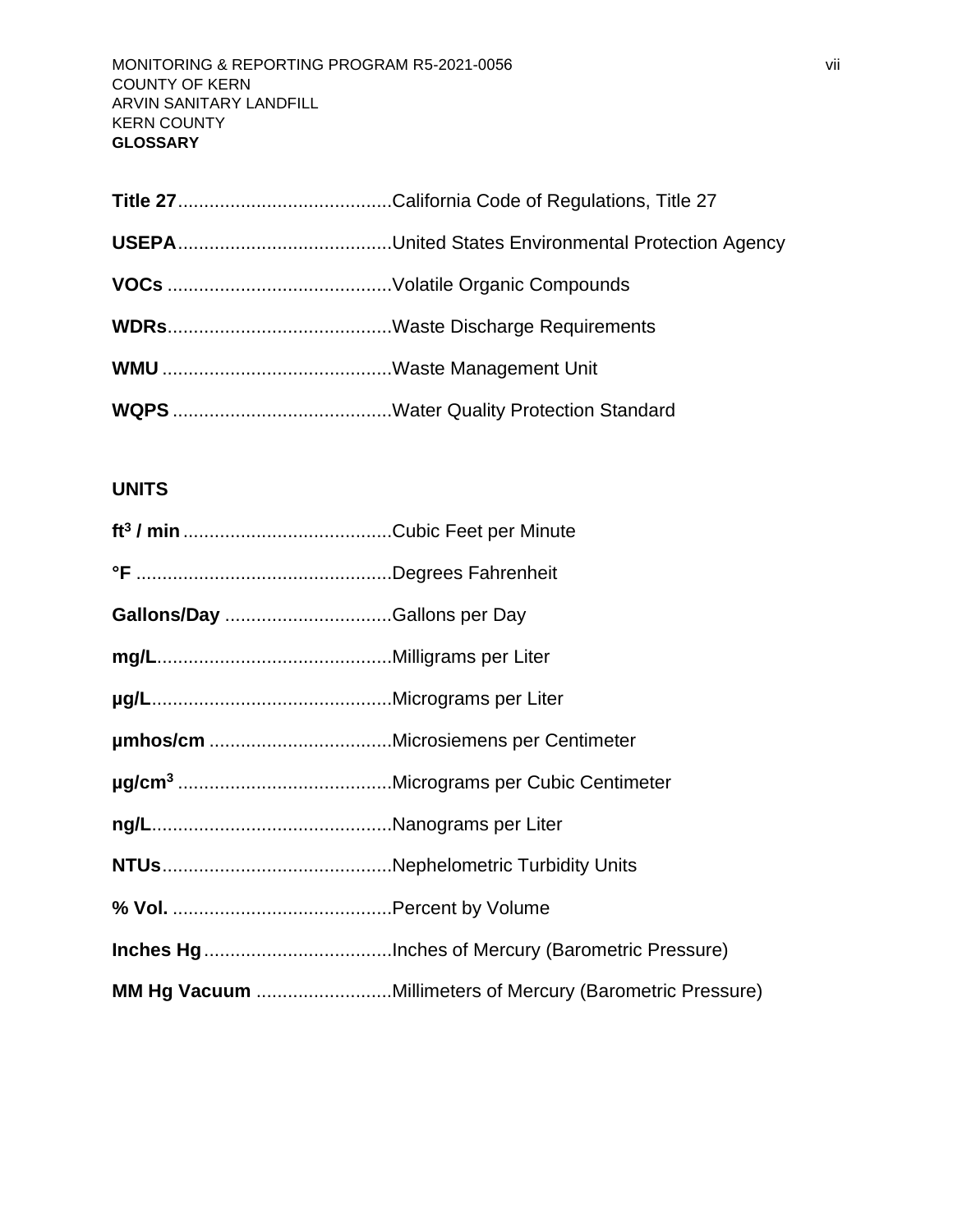### **UNITS**

| MM Hg Vacuum Millimeters of Mercury (Barometric Pressure) |
|-----------------------------------------------------------|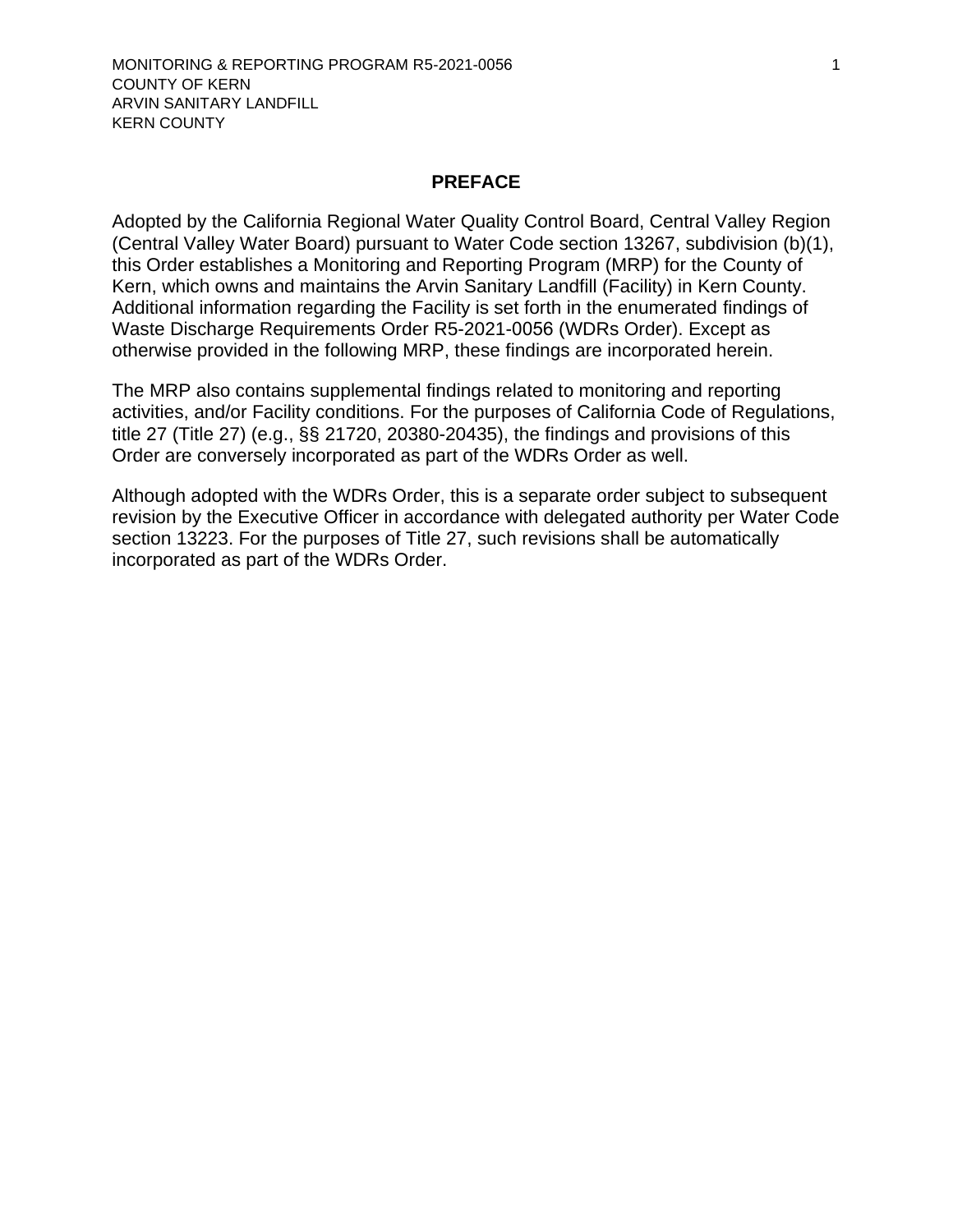#### **PREFACE**

<span id="page-9-0"></span>Adopted by the California Regional Water Quality Control Board, Central Valley Region (Central Valley Water Board) pursuant to Water Code section 13267, subdivision (b)(1), this Order establishes a Monitoring and Reporting Program (MRP) for the County of Kern, which owns and maintains the [Arvin Sanitary Landfill](#page-0-0) (Facility) in [Kern County.](#page-0-1)  Additional information regarding the Facility is set forth in the enumerated findings of Waste Discharge Requirements Order [R5-2021-](#page-0-2)0056 (WDRs Order). Except as otherwise provided in the following MRP, these findings are incorporated herein.

The MRP also contains supplemental findings related to monitoring and reporting activities, and/or Facility conditions. For the purposes of California Code of Regulations, title 27 (Title 27) (e.g., §§ 21720, 20380-20435), the findings and provisions of this Order are conversely incorporated as part of the WDRs Order as well.

Although adopted with the WDRs Order, this is a separate order subject to subsequent revision by the Executive Officer in accordance with delegated authority per Water Code section 13223. For the purposes of Title 27, such revisions shall be automatically incorporated as part of the WDRs Order.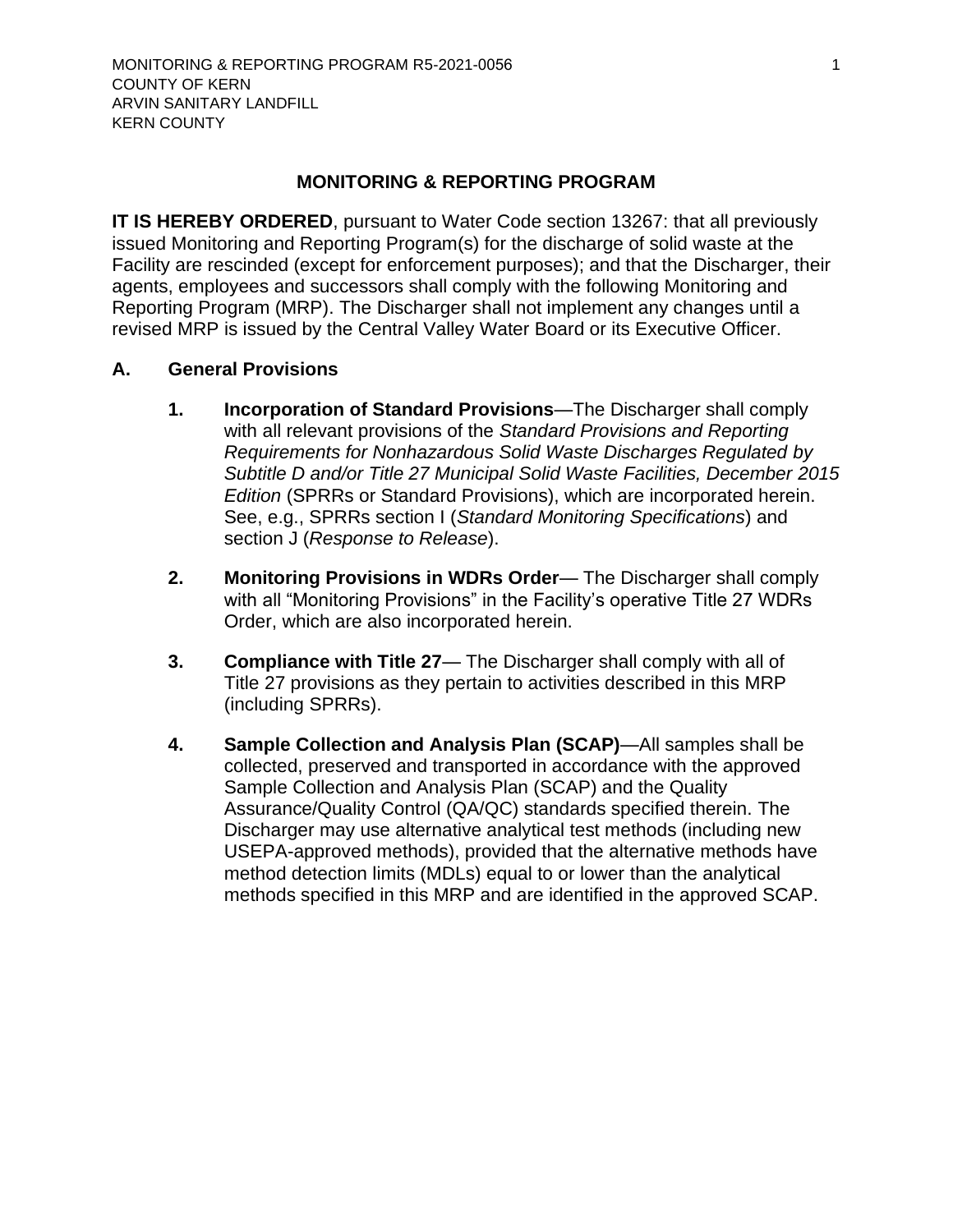#### <span id="page-10-6"></span>**MONITORING & REPORTING PROGRAM**

<span id="page-10-0"></span>**IT IS HEREBY ORDERED, pursuant to Water Code section 13267: that all previously** issued Monitoring and Reporting Program(s) for the discharge of solid waste at the Facility are rescinded (except for enforcement purposes); and that the Discharger, their agents, employees and successors shall comply with the following Monitoring and Reporting Program (MRP). The [Discharger](#page-10-6) shall not implement any changes until a revised MRP is issued by the Central Valley Water Board or its Executive Officer.

#### <span id="page-10-2"></span><span id="page-10-1"></span>**A. General Provisions**

- **1. Incorporation of Standard Provisions**—The Discharger shall comply with all relevant provisions of the *Standard Provisions and Reporting Requirements for Nonhazardous Solid Waste Discharges Regulated by Subtitle D and/or Title 27 Municipal Solid Waste Facilities, December 2015 Edition* (SPRRs or Standard Provisions), which are incorporated herein. See, e.g., SPRRs section I (*Standard Monitoring Specifications*) and section J (*Response to Release*).
- <span id="page-10-3"></span>**2. Monitoring Provisions in WDRs Order**— The Discharger shall comply with all "Monitoring Provisions" in the Facility's operative Title 27 WDRs Order, which are also incorporated herein.
- <span id="page-10-4"></span>**3. Compliance with Title 27**— The Discharger shall comply with all of Title 27 provisions as they pertain to activities described in this MRP (including SPRRs).
- <span id="page-10-5"></span>**4. Sample Collection and Analysis Plan (SCAP)**—All samples shall be collected, preserved and transported in accordance with the approved Sample Collection and Analysis Plan (SCAP) and the Quality Assurance/Quality Control (QA/QC) standards specified therein. The [Discharger](#page-10-6) may use alternative analytical test methods (including new USEPA-approved methods), provided that the alternative methods have method detection limits (MDLs) equal to or lower than the analytical methods specified in this MRP and are identified in the approved SCAP.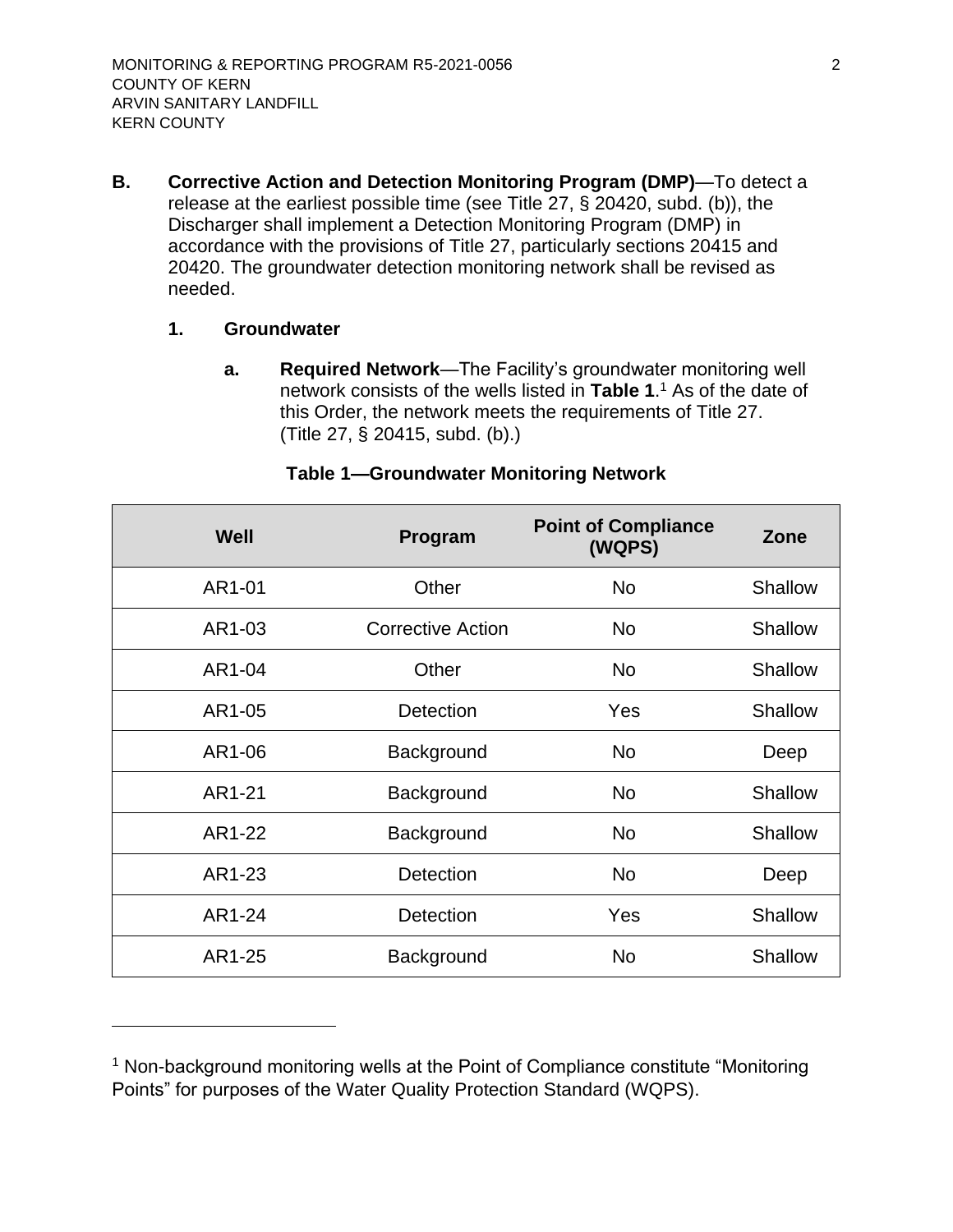<span id="page-11-0"></span>**B. Corrective Action and Detection Monitoring Program (DMP)**—To detect a release at the earliest possible time (see Title 27, § 20420, subd. (b)), the [Discharger](#page-10-6) shall implement a Detection Monitoring Program (DMP) in accordance with the provisions of Title 27, particularly sections 20415 and 20420. The groundwater detection monitoring network shall be revised as needed.

#### <span id="page-11-2"></span><span id="page-11-1"></span>**1. Groundwater**

**a. Required Network**—The Facility's groundwater monitoring well network consists of the wells listed in **[Table 1](#page-11-3)**. <sup>1</sup> As of the date of this Order, the network meets the requirements of Title 27. (Title 27, § 20415, subd. (b).)

<span id="page-11-3"></span>

| Well   | Program                  | <b>Point of Compliance</b><br>(WQPS) | Zone    |
|--------|--------------------------|--------------------------------------|---------|
| AR1-01 | Other                    | <b>No</b>                            | Shallow |
| AR1-03 | <b>Corrective Action</b> | <b>No</b>                            |         |
| AR1-04 | Other                    | <b>No</b>                            | Shallow |
| AR1-05 | Detection                | Yes                                  |         |
| AR1-06 | Background               | <b>No</b>                            | Deep    |
| AR1-21 | Background               | <b>No</b>                            | Shallow |
| AR1-22 | Background               | <b>No</b>                            | Shallow |
| AR1-23 | <b>Detection</b>         | <b>No</b>                            | Deep    |
| AR1-24 | <b>Detection</b>         | Yes                                  | Shallow |
| AR1-25 | Background               | <b>No</b>                            | Shallow |

#### **Table 1—Groundwater Monitoring Network**

<sup>&</sup>lt;sup>1</sup> Non-background monitoring wells at the Point of Compliance constitute "Monitoring" Points" for purposes of the Water Quality Protection Standard (WQPS).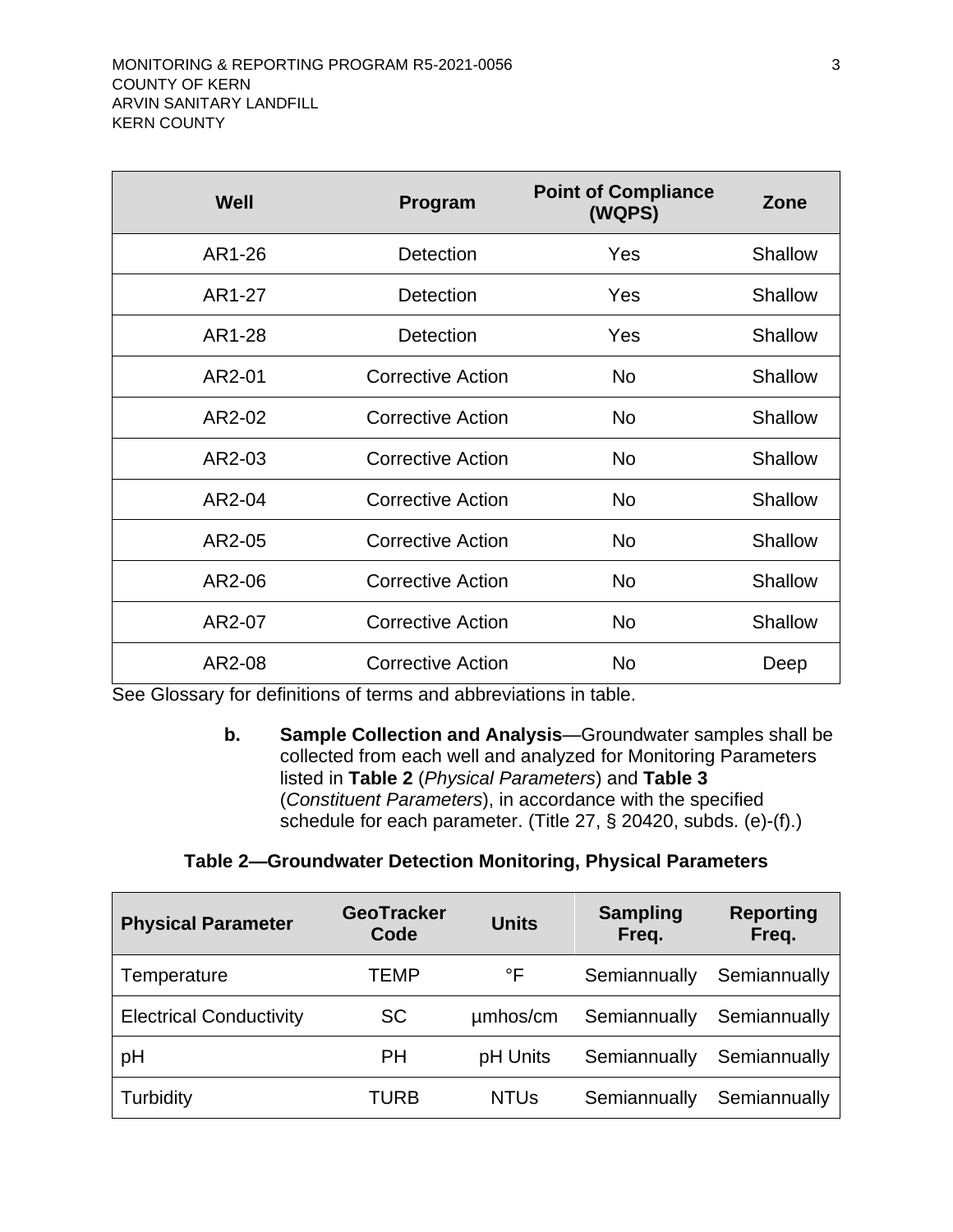| Well   | Program                  | <b>Point of Compliance</b><br>(WQPS) | Zone    |
|--------|--------------------------|--------------------------------------|---------|
| AR1-26 | <b>Detection</b>         | Yes                                  | Shallow |
| AR1-27 | <b>Detection</b>         | Yes                                  | Shallow |
| AR1-28 | Detection                | Yes                                  | Shallow |
| AR2-01 | <b>Corrective Action</b> | <b>No</b>                            | Shallow |
| AR2-02 | <b>Corrective Action</b> | <b>No</b>                            | Shallow |
| AR2-03 | <b>Corrective Action</b> | <b>No</b>                            | Shallow |
| AR2-04 | <b>Corrective Action</b> | <b>No</b>                            | Shallow |
| AR2-05 | <b>Corrective Action</b> | <b>No</b>                            | Shallow |
| AR2-06 | <b>Corrective Action</b> | <b>No</b>                            | Shallow |
| AR2-07 | <b>Corrective Action</b> | <b>No</b>                            | Shallow |
| AR2-08 | <b>Corrective Action</b> | <b>No</b>                            | Deep    |

<span id="page-12-0"></span>See Glossary for definitions of terms and abbreviations in table.

**b. Sample Collection and Analysis**—Groundwater samples shall be collected from each well and analyzed for Monitoring Parameters listed in **[Table 2](#page-12-1)** (*Physical Parameters*) and **[Table 3](#page-13-1)** (*Constituent Parameters*), in accordance with the specified schedule for each parameter. (Title 27, § 20420, subds. (e)-(f).)

#### **Table 2—Groundwater Detection Monitoring, Physical Parameters**

<span id="page-12-1"></span>

| <b>Physical Parameter</b>      | <b>GeoTracker</b><br>Code | <b>Units</b> | <b>Sampling</b><br>Freq. | <b>Reporting</b><br>Freq. |
|--------------------------------|---------------------------|--------------|--------------------------|---------------------------|
| Temperature                    | TEMP                      | °F           | Semiannually             | Semiannually              |
| <b>Electrical Conductivity</b> | <b>SC</b>                 | umhos/cm     | Semiannually             | Semiannually              |
| pH                             | <b>PH</b>                 | pH Units     | Semiannually             | Semiannually              |
| Turbidity                      | TURB                      | <b>NTUs</b>  | Semiannually             | Semiannually              |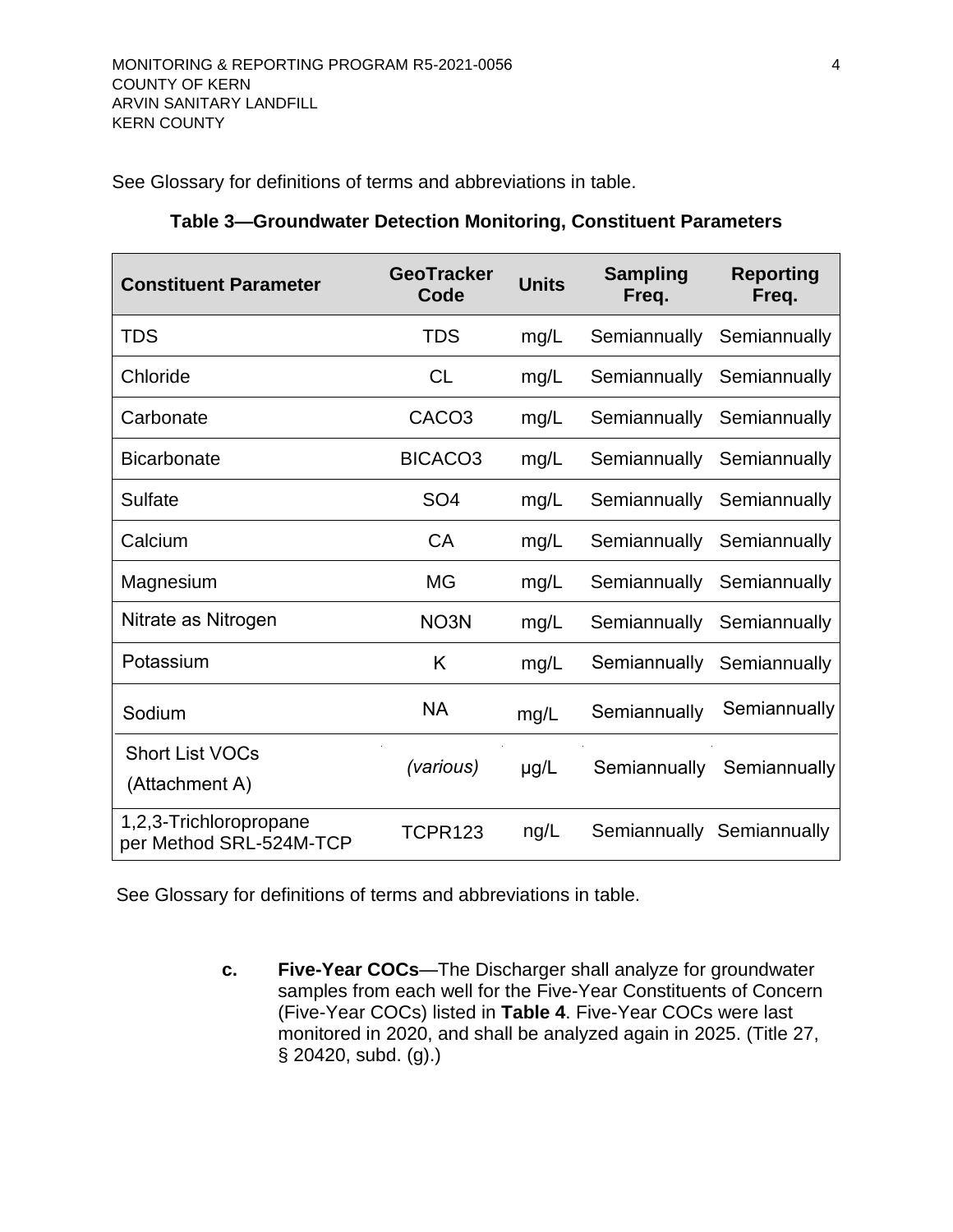See Glossary for definitions of terms and abbreviations in table.

<span id="page-13-1"></span>

| <b>Constituent Parameter</b>                      | <b>GeoTracker</b><br>Code | <b>Units</b> | <b>Sampling</b><br>Freq. | <b>Reporting</b><br>Freq. |
|---------------------------------------------------|---------------------------|--------------|--------------------------|---------------------------|
| <b>TDS</b>                                        | <b>TDS</b>                | mg/L         | Semiannually             | Semiannually              |
| Chloride                                          | CL                        | mg/L         | Semiannually             | Semiannually              |
| Carbonate                                         | CACO <sub>3</sub>         | mg/L         | Semiannually             | Semiannually              |
| <b>Bicarbonate</b>                                | BICACO <sub>3</sub>       | mg/L         | Semiannually             | Semiannually              |
| Sulfate                                           | SO <sub>4</sub>           | mg/L         | Semiannually             | Semiannually              |
| Calcium                                           | <b>CA</b>                 | mg/L         | Semiannually             | Semiannually              |
| Magnesium                                         | <b>MG</b>                 | mg/L         | Semiannually             | Semiannually              |
| Nitrate as Nitrogen                               | NO <sub>3</sub> N         | mg/L         | Semiannually             | Semiannually              |
| Potassium                                         | K                         | mg/L         | Semiannually             | Semiannually              |
| Sodium                                            | <b>NA</b>                 | mg/L         | Semiannually             | Semiannually              |
| <b>Short List VOCs</b>                            | (various)                 | $\mu$ g/L    | Semiannually             | Semiannually              |
| (Attachment A)                                    |                           |              |                          |                           |
| 1,2,3-Trichloropropane<br>per Method SRL-524M-TCP | <b>TCPR123</b>            | ng/L         |                          | Semiannually Semiannually |

| Table 3—Groundwater Detection Monitoring, Constituent Parameters |  |  |
|------------------------------------------------------------------|--|--|
|                                                                  |  |  |

<span id="page-13-0"></span>See Glossary for definitions of terms and abbreviations in table.

**c. Five-Year COCs**—The Discharger shall analyze for groundwater samples from each well for the Five-Year Constituents of Concern (Five-Year COCs) listed in **[Table 4](#page-14-1)**. Five-Year COCs were last monitored in 2020, and shall be analyzed again in 2025. (Title 27, § 20420, subd. (g).)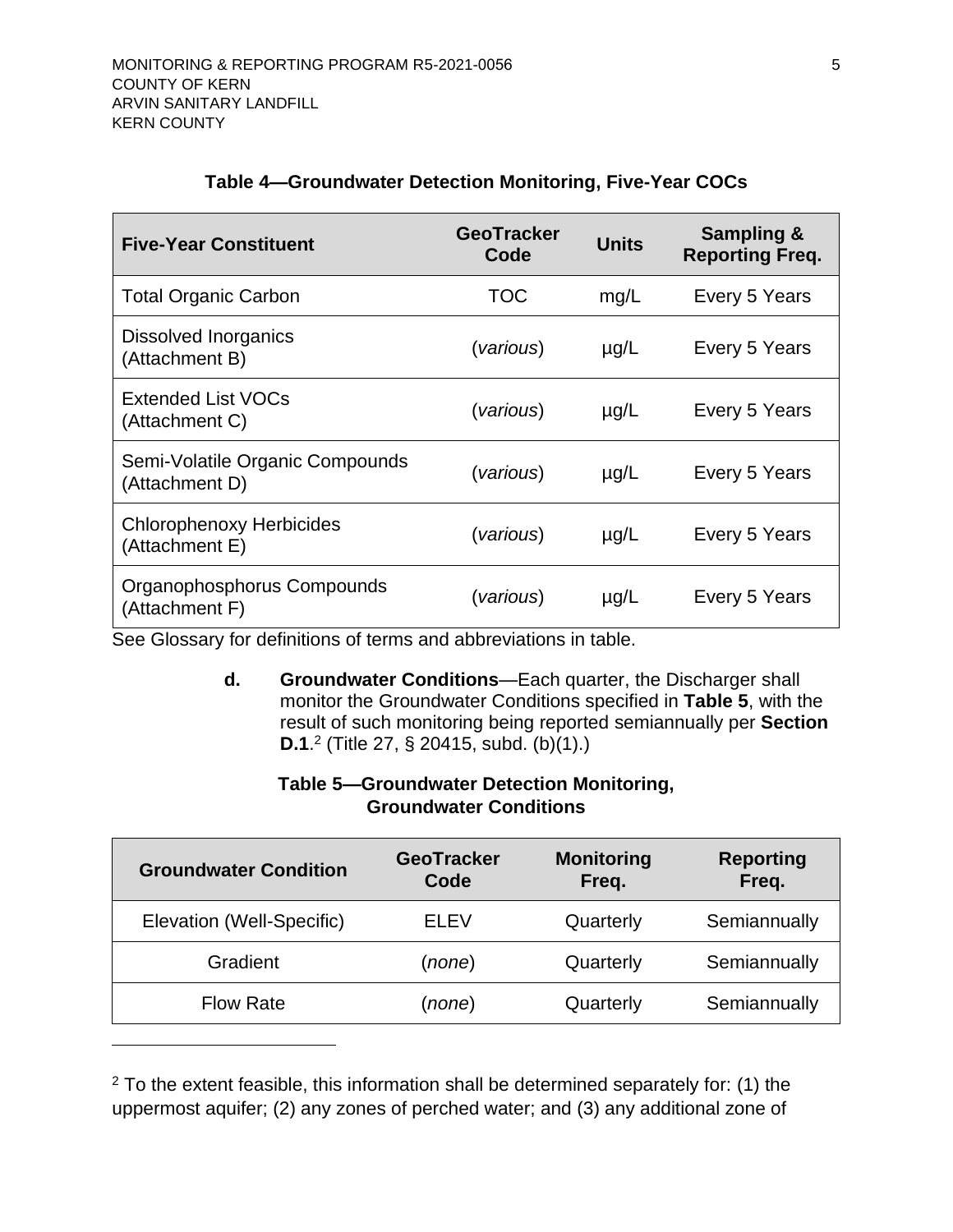<span id="page-14-1"></span>

| <b>Five-Year Constituent</b>                      | <b>GeoTracker</b><br>Code | <b>Units</b> | <b>Sampling &amp;</b><br><b>Reporting Freq.</b> |
|---------------------------------------------------|---------------------------|--------------|-------------------------------------------------|
| <b>Total Organic Carbon</b>                       | <b>TOC</b>                | mg/L         | Every 5 Years                                   |
| Dissolved Inorganics<br>(Attachment B)            | (various)                 | $\mu$ g/L    | Every 5 Years                                   |
| <b>Extended List VOCs</b><br>(Attachment C)       | (various)                 | $\mu$ g/L    | Every 5 Years                                   |
| Semi-Volatile Organic Compounds<br>(Attachment D) | (various)                 | $\mu$ g/L    | Every 5 Years                                   |
| <b>Chlorophenoxy Herbicides</b><br>(Attachment E) | (various)                 | $\mu$ g/L    | Every 5 Years                                   |
| Organophosphorus Compounds<br>(Attachment F)      | (various)                 | $\mu$ g/L    | Every 5 Years                                   |

#### **Table 4—Groundwater Detection Monitoring, Five-Year COCs**

<span id="page-14-0"></span>See Glossary for definitions of terms and abbreviations in table.

**d. Groundwater Conditions**—Each quarter, the Discharger shall monitor the Groundwater Conditions specified in **[Table 5](#page-14-2)**, with the result of such monitoring being reported semiannually per **Section [D.1](#page-22-0)**. 2 (Title 27, § 20415, subd. (b)(1).)

#### **Table 5—Groundwater Detection Monitoring, Groundwater Conditions**

<span id="page-14-2"></span>

| <b>Groundwater Condition</b> | <b>GeoTracker</b><br>Code | <b>Monitoring</b><br>Freq. | <b>Reporting</b><br>Freq. |
|------------------------------|---------------------------|----------------------------|---------------------------|
| Elevation (Well-Specific)    | FI FV                     | Quarterly                  | Semiannually              |
| Gradient                     | (none)                    | Quarterly                  | Semiannually              |
| <b>Flow Rate</b>             | (none)                    | Quarterly                  | Semiannually              |

 $2$  To the extent feasible, this information shall be determined separately for: (1) the uppermost aquifer; (2) any zones of perched water; and (3) any additional zone of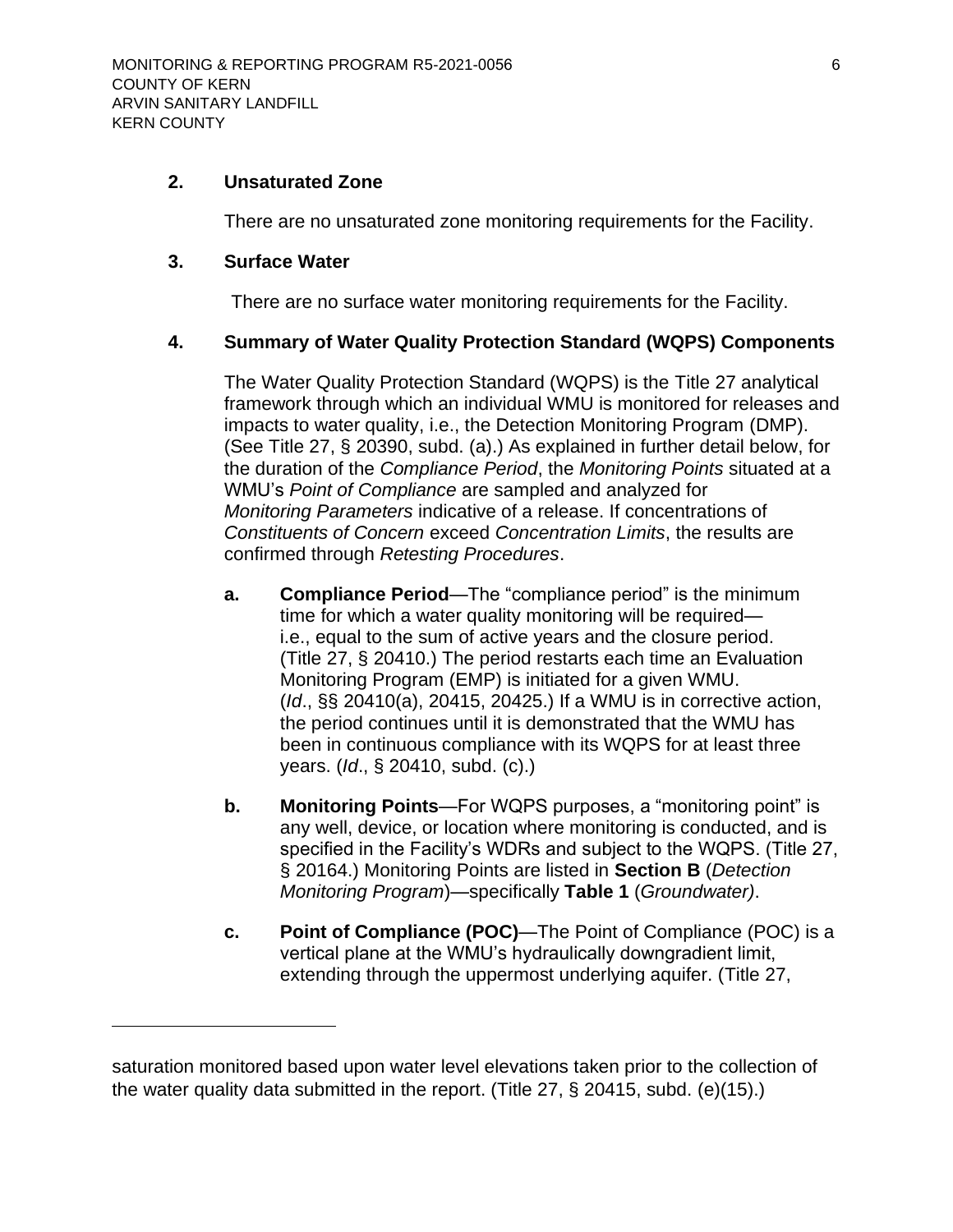#### <span id="page-15-0"></span>**2. Unsaturated Zone**

There are no unsaturated zone monitoring requirements for the Facility.

#### <span id="page-15-1"></span>**3. Surface Water**

There are no surface water monitoring requirements for the Facility.

#### <span id="page-15-2"></span>**4. Summary of Water Quality Protection Standard (WQPS) Components**

The Water Quality Protection Standard (WQPS) is the Title 27 analytical framework through which an individual WMU is monitored for releases and impacts to water quality, i.e., the Detection Monitoring Program (DMP). (See Title 27, § 20390, subd. (a).) As explained in further detail below, for the duration of the *Compliance Period*, the *Monitoring Points* situated at a WMU's *Point of Compliance* are sampled and analyzed for *Monitoring Parameters* indicative of a release. If concentrations of *Constituents of Concern* exceed *Concentration Limits*, the results are confirmed through *Retesting Procedures*.

- <span id="page-15-3"></span>**a. Compliance Period**—The "compliance period" is the minimum time for which a water quality monitoring will be required i.e., equal to the sum of active years and the closure period. (Title 27, § 20410.) The period restarts each time an Evaluation Monitoring Program (EMP) is initiated for a given WMU. (*Id*., §§ 20410(a), 20415, 20425.) If a WMU is in corrective action, the period continues until it is demonstrated that the WMU has been in continuous compliance with its WQPS for at least three years. (*Id*., § 20410, subd. (c).)
- <span id="page-15-4"></span>**b. Monitoring Points**—For WQPS purposes, a "monitoring point" is any well, device, or location where monitoring is conducted, and is specified in the Facility's WDRs and subject to the WQPS. (Title 27, § 20164.) Monitoring Points are listed in **Section [B](#page-11-0)** (*Detection Monitoring Program*)—specifically **[Table 1](#page-11-3)** (*Groundwater)*.
- <span id="page-15-5"></span>**c. Point of Compliance (POC)**—The Point of Compliance (POC) is a vertical plane at the WMU's hydraulically downgradient limit, extending through the uppermost underlying aquifer. (Title 27,

saturation monitored based upon water level elevations taken prior to the collection of the water quality data submitted in the report. (Title 27, § 20415, subd. (e)(15).)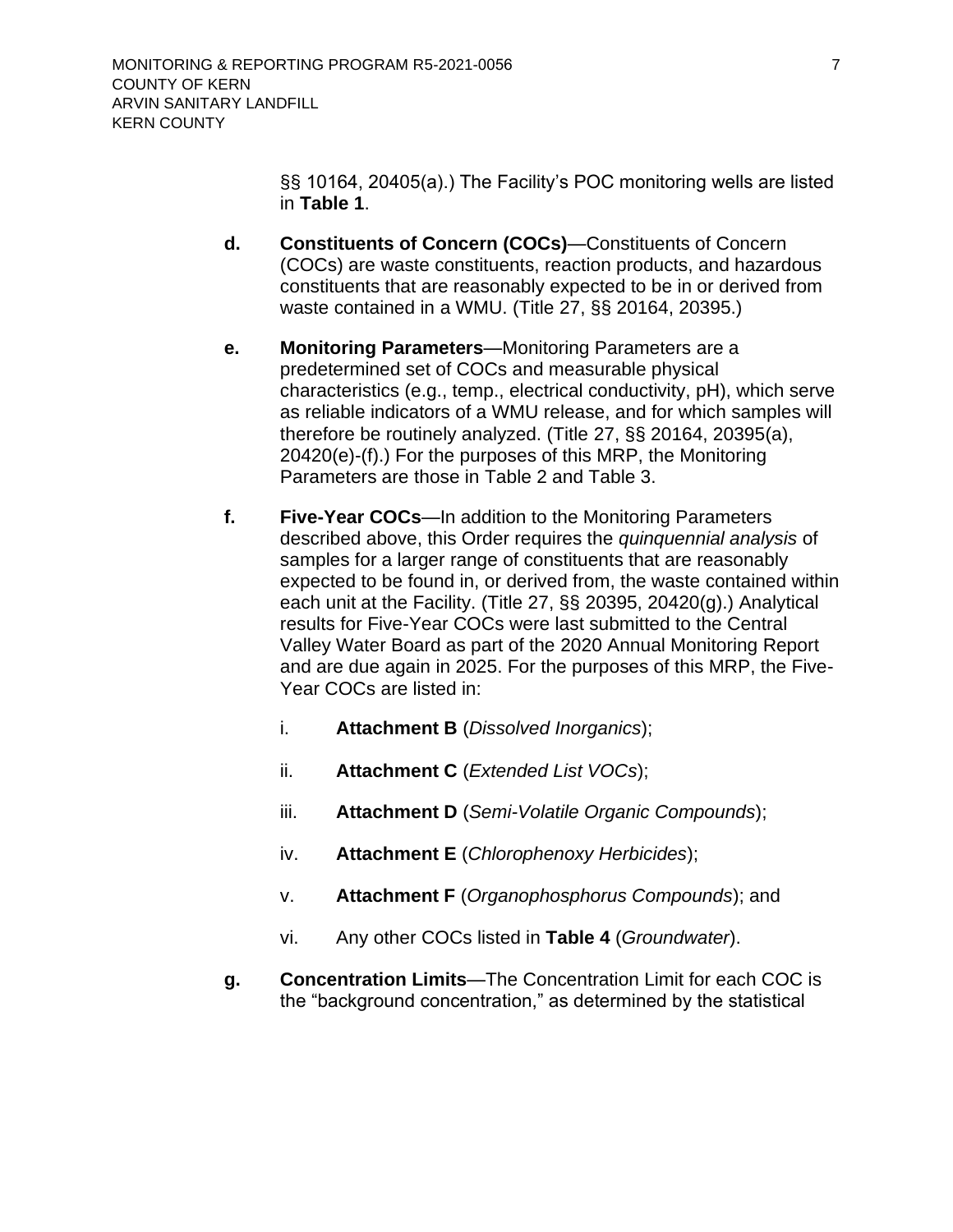§§ 10164, 20405(a).) The Facility's POC monitoring wells are listed in **[Table 1](#page-11-3)**.

- <span id="page-16-0"></span>**d. Constituents of Concern (COCs)**—Constituents of Concern (COCs) are waste constituents, reaction products, and hazardous constituents that are reasonably expected to be in or derived from waste contained in a WMU. (Title 27, §§ 20164, 20395.)
- <span id="page-16-1"></span>**e. Monitoring Parameters**—Monitoring Parameters are a predetermined set of COCs and measurable physical characteristics (e.g., temp., electrical conductivity, pH), which serve as reliable indicators of a WMU release, and for which samples will therefore be routinely analyzed. (Title 27, §§ 20164, 20395(a), 20420(e)-(f).) For the purposes of this MRP, the Monitoring Parameters are those in [Table 2](#page-12-1) and [Table 3.](#page-13-1)
- <span id="page-16-2"></span>**f. Five-Year COCs**—In addition to the Monitoring Parameters described above, this Order requires the *quinquennial analysis* of samples for a larger range of constituents that are reasonably expected to be found in, or derived from, the waste contained within each unit at the Facility. (Title 27, §§ 20395, 20420(g).) Analytical results for Five-Year COCs were last submitted to the Central Valley Water Board as part of the 2020 Annual Monitoring Report and are due again in 2025. For the purposes of this MRP, the Five-Year COCs are listed in:
	- i. **Attachment B** (*Dissolved Inorganics*);
	- ii. **Attachment C** (*Extended List VOCs*);
	- iii. **Attachment D** (*Semi-Volatile Organic Compounds*);
	- iv. **Attachment E** (*Chlorophenoxy Herbicides*);
	- v. **Attachment F** (*Organophosphorus Compounds*); and
	- vi. Any other COCs listed in **[Table 4](#page-14-1)** (*Groundwater*).
- <span id="page-16-3"></span>**g. Concentration Limits**—The Concentration Limit for each COC is the "background concentration," as determined by the statistical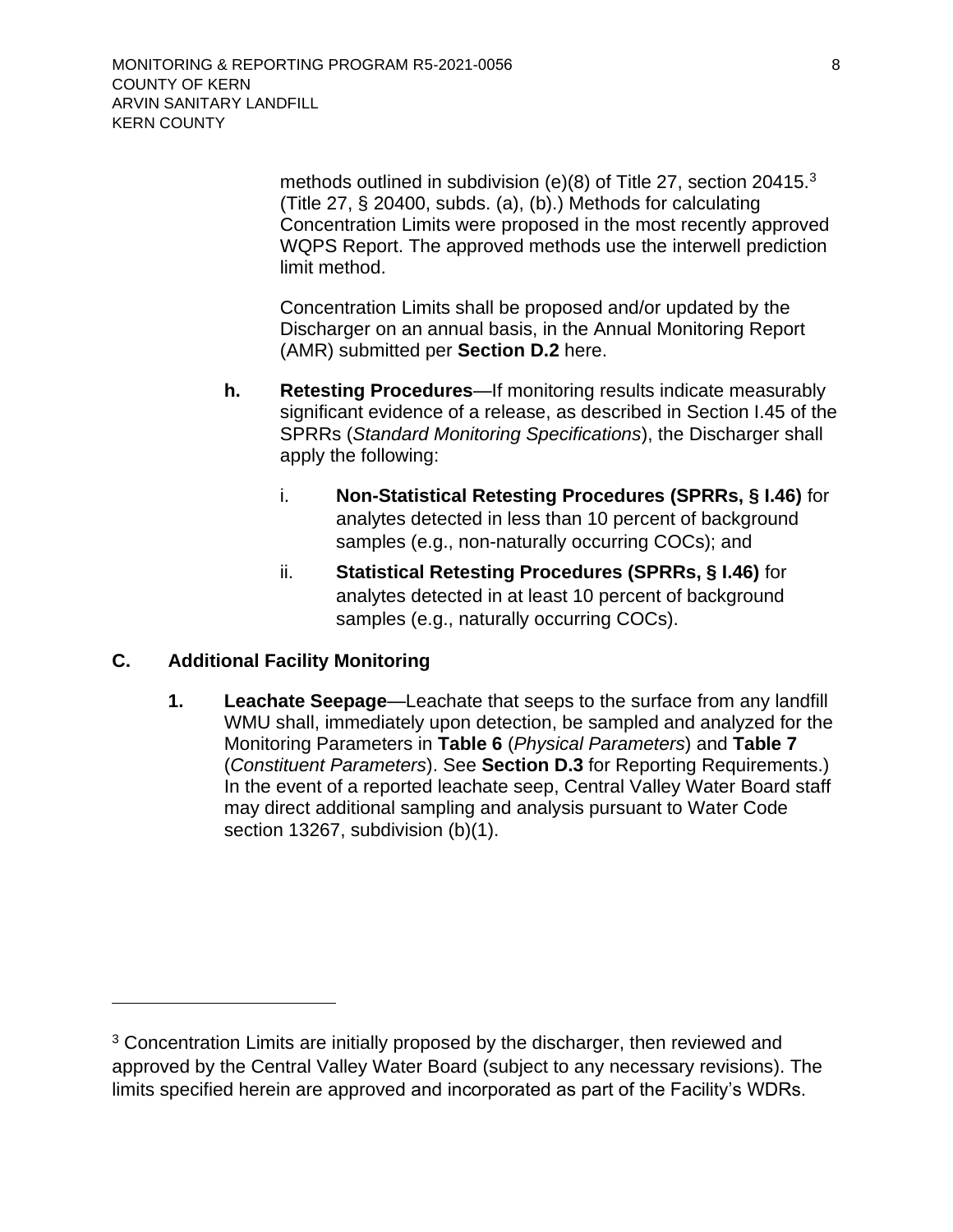methods outlined in subdivision (e)(8) of Title 27, section 20415.<sup>3</sup> (Title 27, § 20400, subds. (a), (b).) Methods for calculating Concentration Limits were proposed in the most recently approved WQPS Report. The approved methods use the interwell prediction limit method.

Concentration Limits shall be proposed and/or updated by the [Discharger](#page-10-6) on an annual basis, in the Annual Monitoring Report (AMR) submitted per **Section [D.2](#page-23-0)** here.

- <span id="page-17-0"></span>**h. Retesting Procedures**—If monitoring results indicate measurably significant evidence of a release, as described in Section I.45 of the SPRRs (*Standard Monitoring Specifications*), the [Discharger](#page-10-6) shall apply the following:
	- i. **Non-Statistical Retesting Procedures (SPRRs, § I.46)** for analytes detected in less than 10 percent of background samples (e.g., non-naturally occurring COCs); and
	- ii. **Statistical Retesting Procedures (SPRRs, § I.46)** for analytes detected in at least 10 percent of background samples (e.g., naturally occurring COCs).

### <span id="page-17-2"></span><span id="page-17-1"></span>**C. Additional Facility Monitoring**

**1. Leachate Seepage**—Leachate that seeps to the surface from any landfill WMU shall, immediately upon detection, be sampled and analyzed for the Monitoring Parameters in **[Table 6](#page-18-0)** (*Physical Parameters*) and **[Table 7](#page-18-1)** (*Constituent Parameters*). See **Section [D.3](#page-24-0)** for Reporting Requirements.) In the event of a reported leachate seep, Central Valley Water Board staff may direct additional sampling and analysis pursuant to Water Code section 13267, subdivision (b)(1).

<sup>&</sup>lt;sup>3</sup> Concentration Limits are initially proposed by the discharger, then reviewed and approved by the Central Valley Water Board (subject to any necessary revisions). The limits specified herein are approved and incorporated as part of the Facility's WDRs.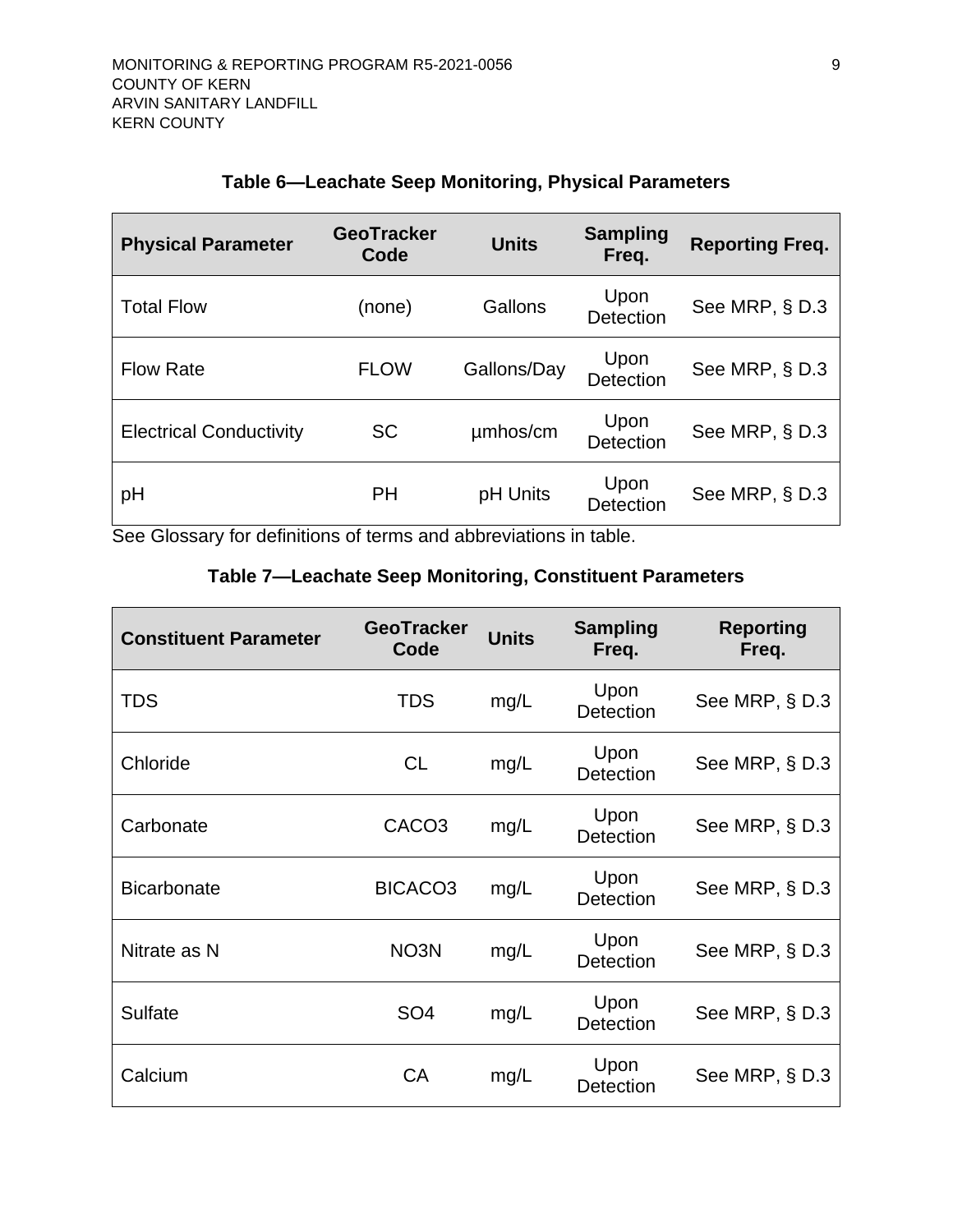<span id="page-18-0"></span>

| <b>Physical Parameter</b>      | <b>GeoTracker</b><br>Code | <b>Units</b> | <b>Sampling</b><br>Freq. | <b>Reporting Freq.</b> |
|--------------------------------|---------------------------|--------------|--------------------------|------------------------|
| <b>Total Flow</b>              | (none)                    | Gallons      | Upon<br>Detection        | See MRP, § D.3         |
| <b>Flow Rate</b>               | <b>FLOW</b>               | Gallons/Day  | Upon<br>Detection        | See MRP, § D.3         |
| <b>Electrical Conductivity</b> | <b>SC</b>                 | umhos/cm     | Upon<br>Detection        | See MRP, § D.3         |
| pH                             | <b>PH</b>                 | pH Units     | Upon<br>Detection        | See MRP, $\S$ D.3      |

### **Table 6—Leachate Seep Monitoring, Physical Parameters**

<span id="page-18-1"></span>See Glossary for definitions of terms and abbreviations in table.

### **Table 7—Leachate Seep Monitoring, Constituent Parameters**

| <b>Constituent Parameter</b> | <b>GeoTracker</b><br>Code | <b>Units</b> | <b>Sampling</b><br>Freq. | <b>Reporting</b><br>Freq. |
|------------------------------|---------------------------|--------------|--------------------------|---------------------------|
| <b>TDS</b>                   | <b>TDS</b>                | mg/L         | Upon<br><b>Detection</b> | See MRP, § D.3            |
| Chloride                     | CL                        | mg/L         | Upon<br><b>Detection</b> | See MRP, $\S$ D.3         |
| Carbonate                    | CACO <sub>3</sub>         | mg/L         | Upon<br><b>Detection</b> | See MRP, § D.3            |
| <b>Bicarbonate</b>           | BICACO <sub>3</sub>       | mg/L         | Upon<br><b>Detection</b> | See MRP, § D.3            |
| Nitrate as N                 | NO <sub>3</sub> N         | mg/L         | Upon<br>Detection        | See MRP, $\S$ D.3         |
| <b>Sulfate</b>               | SO <sub>4</sub>           | mg/L         | Upon<br><b>Detection</b> | See MRP, $\S$ D.3         |
| Calcium                      | <b>CA</b>                 | mg/L         | Upon<br><b>Detection</b> | See MRP, § D.3            |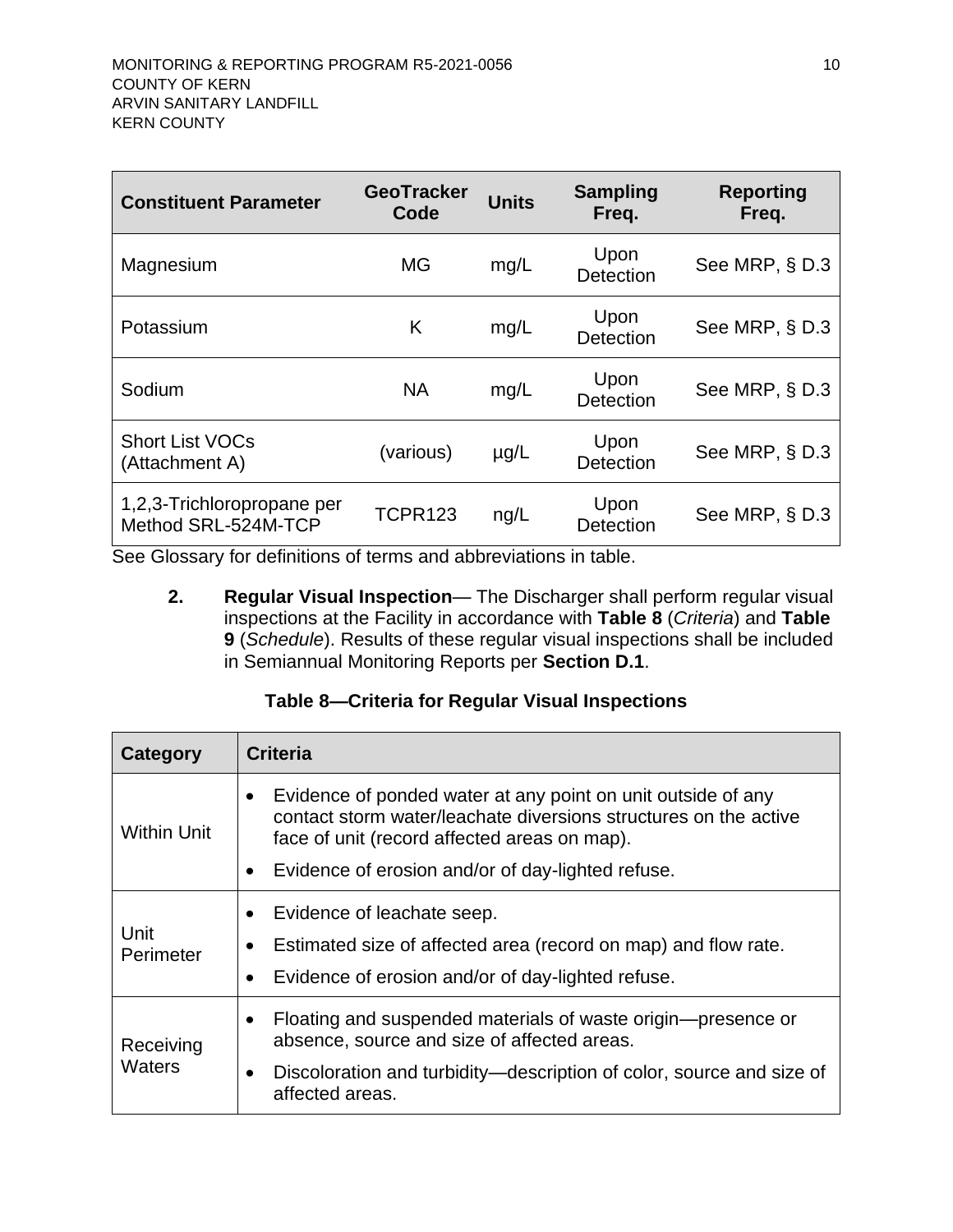| <b>Constituent Parameter</b>                      | <b>GeoTracker</b><br>Code | <b>Units</b> | <b>Sampling</b><br>Freq. | <b>Reporting</b><br>Freq. |
|---------------------------------------------------|---------------------------|--------------|--------------------------|---------------------------|
| Magnesium                                         | <b>MG</b>                 | mg/L         | Upon<br><b>Detection</b> | See MRP, $\S$ D.3         |
| Potassium                                         | K                         | mg/L         | Upon<br>Detection        | See MRP, § D.3            |
| Sodium                                            | <b>NA</b>                 | mg/L         | Upon<br><b>Detection</b> | See MRP, § D.3            |
| <b>Short List VOCs</b><br>(Attachment A)          | (various)                 | $\mu$ g/L    | Upon<br><b>Detection</b> | See MRP, § D.3            |
| 1,2,3-Trichloropropane per<br>Method SRL-524M-TCP | <b>TCPR123</b>            | ng/L         | Upon<br>Detection        | See MRP, § D.3            |

<span id="page-19-0"></span>See Glossary for definitions of terms and abbreviations in table.

**2. Regular Visual Inspection**— The Discharger shall perform regular visual inspections at the Facility in accordance with **[Table 8](#page-19-1)** (*Criteria*) and **[Table](#page-20-4) [9](#page-20-4)** (*Schedule*). Results of these regular visual inspections shall be included in Semiannual Monitoring Reports per **Section [D.1](#page-22-0)**.

### **Table 8—Criteria for Regular Visual Inspections**

<span id="page-19-1"></span>

| Category            | <b>Criteria</b>                                                                                                                                                                  |
|---------------------|----------------------------------------------------------------------------------------------------------------------------------------------------------------------------------|
| <b>Within Unit</b>  | Evidence of ponded water at any point on unit outside of any<br>contact storm water/leachate diversions structures on the active<br>face of unit (record affected areas on map). |
|                     | Evidence of erosion and/or of day-lighted refuse.<br>$\bullet$                                                                                                                   |
| Unit<br>Perimeter   | Evidence of leachate seep.<br>Estimated size of affected area (record on map) and flow rate.<br>Evidence of erosion and/or of day-lighted refuse.<br>$\bullet$                   |
| Receiving<br>Waters | Floating and suspended materials of waste origin—presence or<br>absence, source and size of affected areas.                                                                      |
|                     | Discoloration and turbidity—description of color, source and size of<br>$\bullet$<br>affected areas.                                                                             |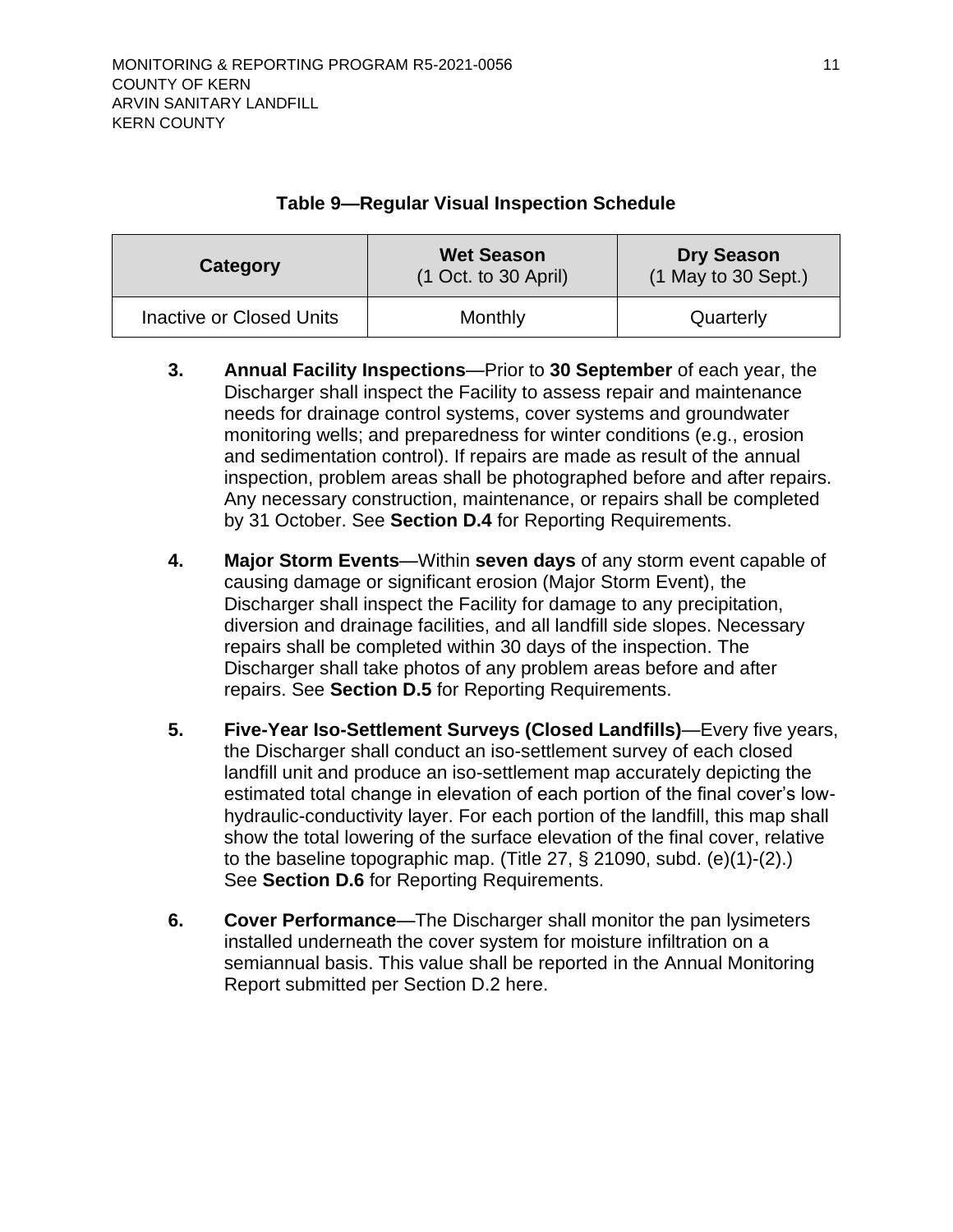<span id="page-20-4"></span>

| Category                 | <b>Wet Season</b><br>$(1$ Oct. to 30 April) | <b>Dry Season</b><br>(1 May to 30 Sept.) |
|--------------------------|---------------------------------------------|------------------------------------------|
| Inactive or Closed Units | Monthly                                     | Quarterly                                |

#### **Table 9—Regular Visual Inspection Schedule**

- <span id="page-20-0"></span>**3. Annual Facility Inspections**—Prior to **30 September** of each year, the Discharger shall inspect the Facility to assess repair and maintenance needs for drainage control systems, cover systems and groundwater monitoring wells; and preparedness for winter conditions (e.g., erosion and sedimentation control). If repairs are made as result of the annual inspection, problem areas shall be photographed before and after repairs. Any necessary construction, maintenance, or repairs shall be completed by 31 October. See **Section [D.4](#page-24-1)** for Reporting Requirements.
- <span id="page-20-1"></span>**4. Major Storm Events**—Within **seven days** of any storm event capable of causing damage or significant erosion (Major Storm Event), the Discharger shall inspect the Facility for damage to any precipitation, diversion and drainage facilities, and all landfill side slopes. Necessary repairs shall be completed within 30 days of the inspection. The Discharger shall take photos of any problem areas before and after repairs. See **Section [D.5](#page-25-0)** for Reporting Requirements.
- <span id="page-20-2"></span>**5. Five-Year Iso-Settlement Surveys (Closed Landfills)**—Every five years, the Discharger shall conduct an iso-settlement survey of each closed landfill unit and produce an iso-settlement map accurately depicting the estimated total change in elevation of each portion of the final cover's lowhydraulic-conductivity layer. For each portion of the landfill, this map shall show the total lowering of the surface elevation of the final cover, relative to the baseline topographic map. (Title 27, § 21090, subd. (e)(1)-(2).) See **Section [D.6](#page-25-1)** for Reporting Requirements.
- <span id="page-20-3"></span>**6. Cover Performance**—The Discharger shall monitor the pan lysimeters installed underneath the cover system for moisture infiltration on a semiannual basis. This value shall be reported in the Annual Monitoring Report submitted per Section [D.2](#page-23-0) here.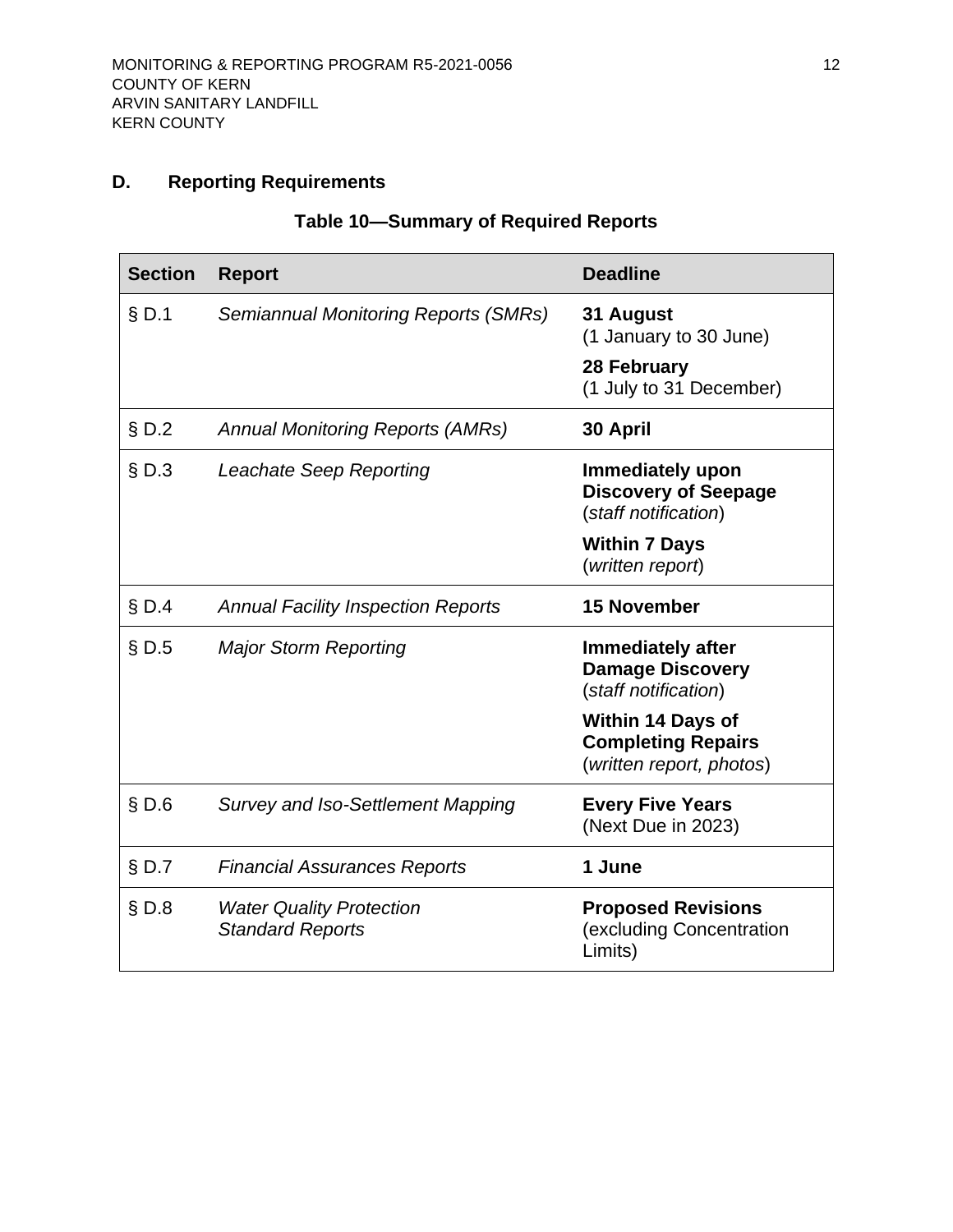# <span id="page-21-1"></span><span id="page-21-0"></span>**D. Reporting Requirements**

| <b>Table 10-Summary of Required Reports</b> |
|---------------------------------------------|
|                                             |

| <b>Section</b> | <b>Report</b>                                              | <b>Deadline</b>                                                                   |
|----------------|------------------------------------------------------------|-----------------------------------------------------------------------------------|
| $§$ D.1        | <b>Semiannual Monitoring Reports (SMRs)</b>                | 31 August<br>(1 January to 30 June)<br>28 February<br>(1 July to 31 December)     |
| $\S$ D.2       | <b>Annual Monitoring Reports (AMRs)</b>                    | 30 April                                                                          |
| $\S$ D.3       | <b>Leachate Seep Reporting</b>                             | Immediately upon<br><b>Discovery of Seepage</b><br>(staff notification)           |
|                |                                                            | <b>Within 7 Days</b><br>(written report)                                          |
| \$D.4          | <b>Annual Facility Inspection Reports</b>                  | <b>15 November</b>                                                                |
| $\S D.5$       | <b>Major Storm Reporting</b>                               | <b>Immediately after</b><br><b>Damage Discovery</b><br>(staff notification)       |
|                |                                                            | <b>Within 14 Days of</b><br><b>Completing Repairs</b><br>(written report, photos) |
| \$D.6          | <b>Survey and Iso-Settlement Mapping</b>                   | <b>Every Five Years</b><br>(Next Due in 2023)                                     |
| $§$ D.7        | <b>Financial Assurances Reports</b>                        | 1 June                                                                            |
| \$D.8          | <b>Water Quality Protection</b><br><b>Standard Reports</b> | <b>Proposed Revisions</b><br>(excluding Concentration<br>Limits)                  |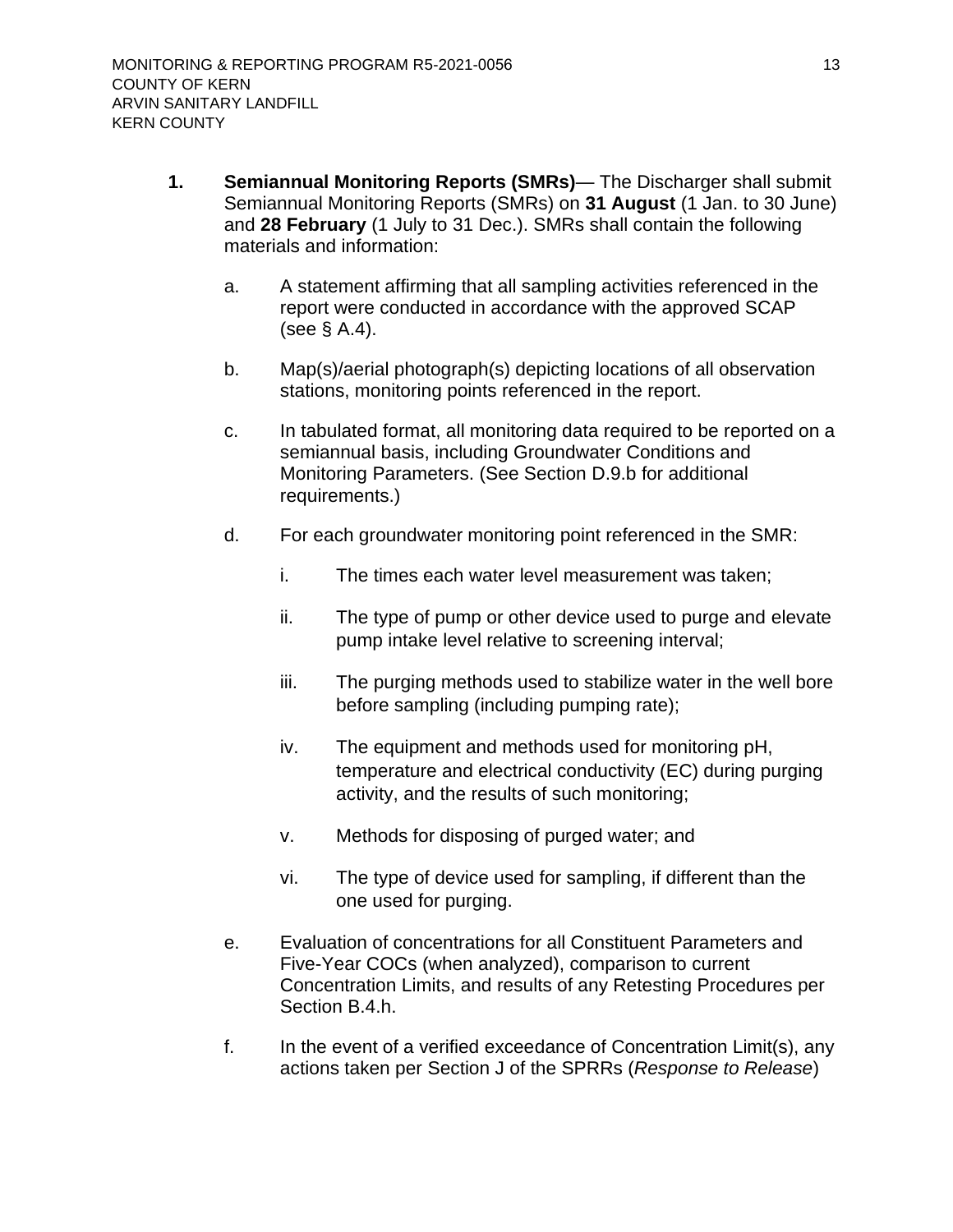- <span id="page-22-0"></span>**1. Semiannual Monitoring Reports (SMRs)**— The Discharger shall submit Semiannual Monitoring Reports (SMRs) on **31 August** (1 Jan. to 30 June) and **28 February** (1 July to 31 Dec.). SMRs shall contain the following materials and information:
	- a. A statement affirming that all sampling activities referenced in the report were conducted in accordance with the approved SCAP (see  $\S$  [A.4\)](#page-10-5).
	- b. Map(s)/aerial photograph(s) depicting locations of all observation stations, monitoring points referenced in the report.
	- c. In tabulated format, all monitoring data required to be reported on a semiannual basis, including Groundwater Conditions and Monitoring Parameters. (See Section [D.9.b](#page-26-2) for additional requirements.)
	- d. For each groundwater monitoring point referenced in the SMR:
		- i. The times each water level measurement was taken;
		- ii. The type of pump or other device used to purge and elevate pump intake level relative to screening interval;
		- iii. The purging methods used to stabilize water in the well bore before sampling (including pumping rate);
		- iv. The equipment and methods used for monitoring pH, temperature and electrical conductivity (EC) during purging activity, and the results of such monitoring;
		- v. Methods for disposing of purged water; and
		- vi. The type of device used for sampling, if different than the one used for purging.
	- e. Evaluation of concentrations for all Constituent Parameters and Five-Year COCs (when analyzed), comparison to current Concentration Limits, and results of any Retesting Procedures per Section [B.4.h.](#page-17-0)
	- f. In the event of a verified exceedance of Concentration Limit(s), any actions taken per Section J of the SPRRs (*Response to Release*)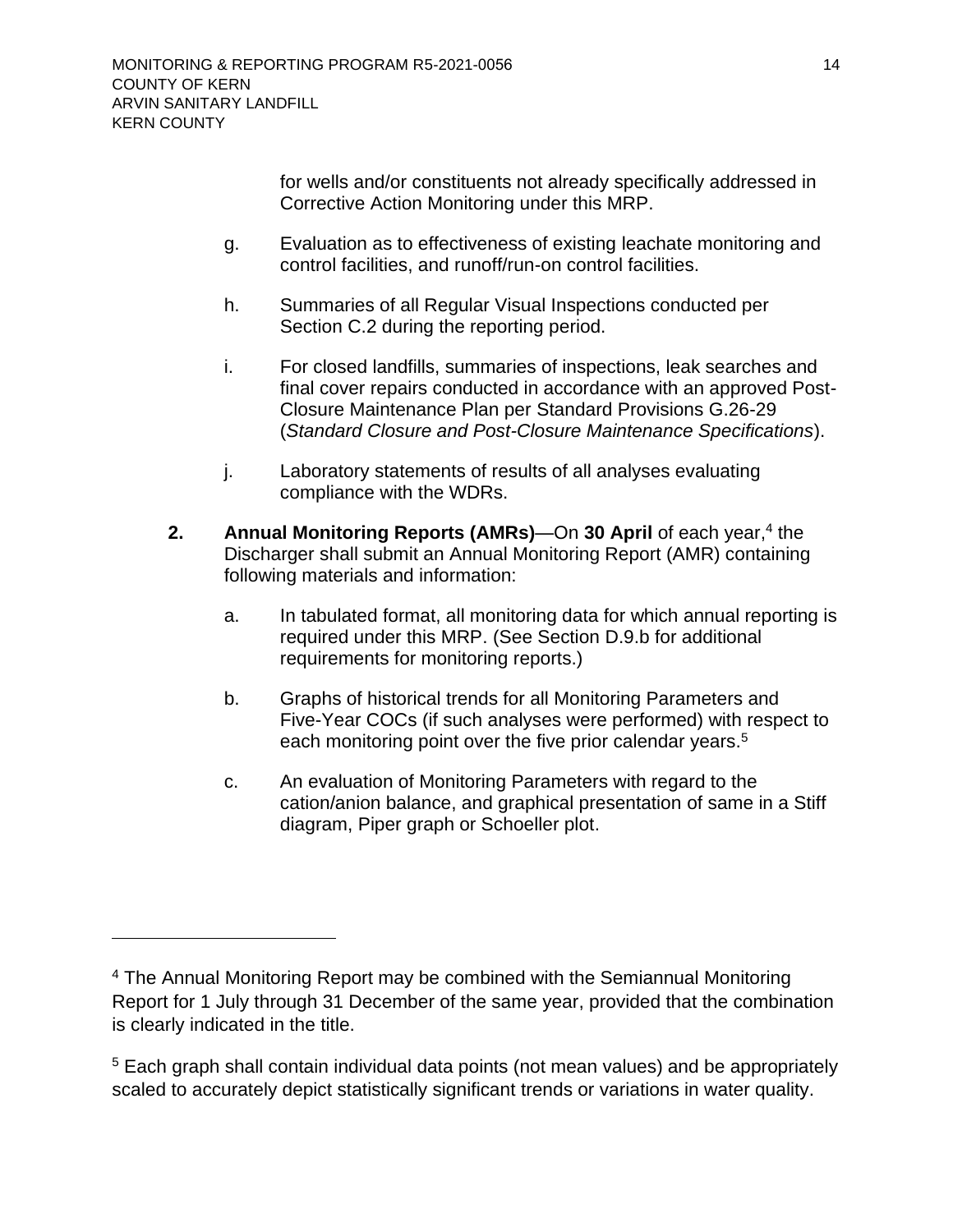for wells and/or constituents not already specifically addressed in Corrective Action Monitoring under this MRP.

- g. Evaluation as to effectiveness of existing leachate monitoring and control facilities, and runoff/run-on control facilities.
- h. Summaries of all Regular Visual Inspections conducted per Section [C.2](#page-19-0) during the reporting period.
- i. For closed landfills, summaries of inspections, leak searches and final cover repairs conducted in accordance with an approved Post-Closure Maintenance Plan per Standard Provisions G.26-29 (*Standard Closure and Post-Closure Maintenance Specifications*).
- j. Laboratory statements of results of all analyses evaluating compliance with the WDRs.
- <span id="page-23-0"></span>**2. Annual Monitoring Reports (AMRs)**—On **30 April** of each year, 4 the Discharger shall submit an Annual Monitoring Report (AMR) containing following materials and information:
	- a. In tabulated format, all monitoring data for which annual reporting is required under this MRP. (See Section [D.9.b](#page-26-2) for additional requirements for monitoring reports.)
	- b. Graphs of historical trends for all Monitoring Parameters and Five-Year COCs (if such analyses were performed) with respect to each monitoring point over the five prior calendar years.<sup>5</sup>
	- c. An evaluation of Monitoring Parameters with regard to the cation/anion balance, and graphical presentation of same in a Stiff diagram, Piper graph or Schoeller plot.

<sup>&</sup>lt;sup>4</sup> The Annual Monitoring Report may be combined with the Semiannual Monitoring Report for 1 July through 31 December of the same year, provided that the combination is clearly indicated in the title.

<sup>&</sup>lt;sup>5</sup> Each graph shall contain individual data points (not mean values) and be appropriately scaled to accurately depict statistically significant trends or variations in water quality.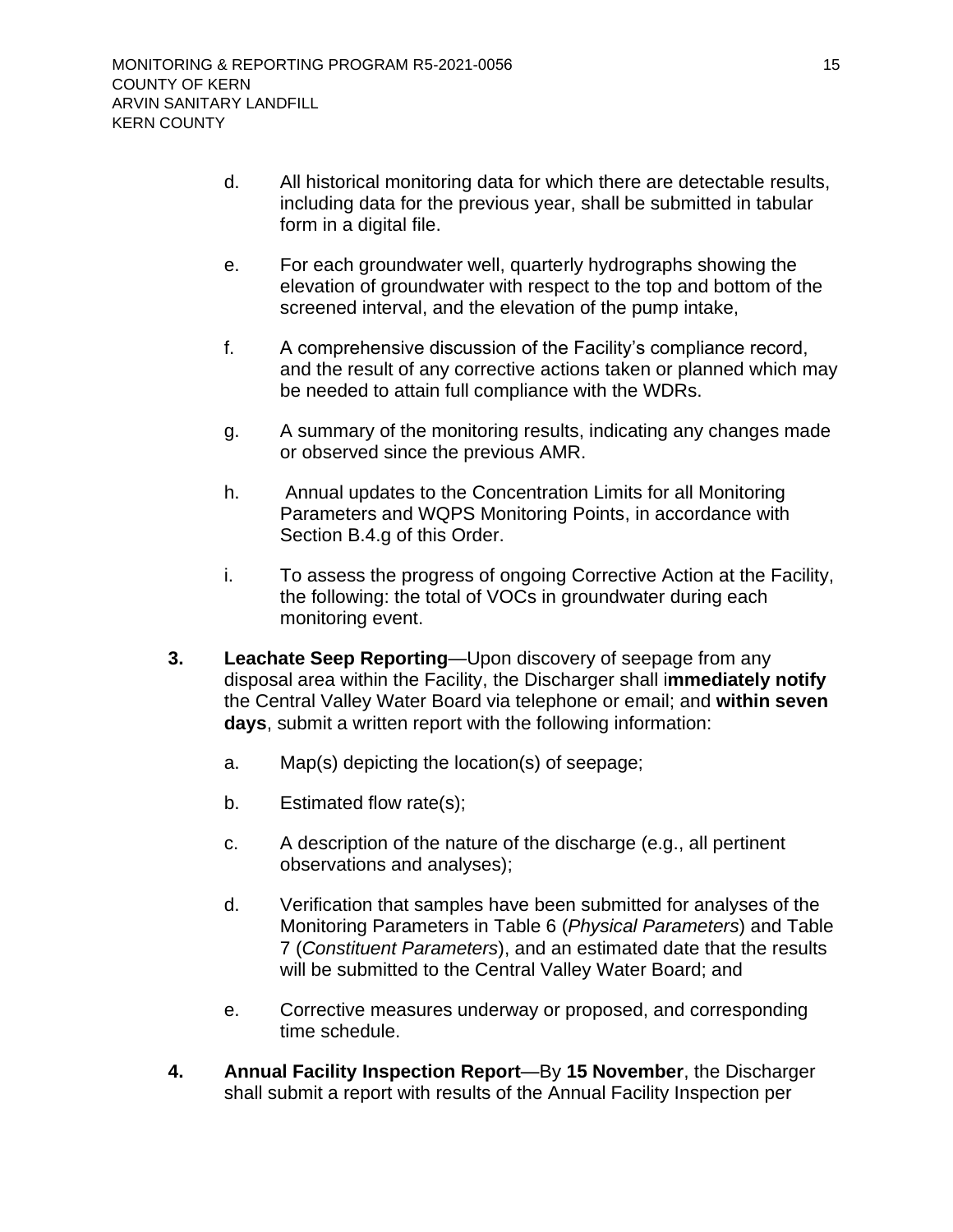- d. All historical monitoring data for which there are detectable results, including data for the previous year, shall be submitted in tabular form in a digital file.
- e. For each groundwater well, quarterly hydrographs showing the elevation of groundwater with respect to the top and bottom of the screened interval, and the elevation of the pump intake,
- f. A comprehensive discussion of the Facility's compliance record, and the result of any corrective actions taken or planned which may be needed to attain full compliance with the WDRs.
- g. A summary of the monitoring results, indicating any changes made or observed since the previous AMR.
- h. Annual updates to the Concentration Limits for all Monitoring Parameters and WQPS Monitoring Points, in accordance with Section [B.4.g](#page-16-3) of this Order.
- i. To assess the progress of ongoing Corrective Action at the Facility, the following: the total of VOCs in groundwater during each monitoring event.
- <span id="page-24-0"></span>**3. Leachate Seep Reporting**—Upon discovery of seepage from any disposal area within the Facility, the Discharger shall i**mmediately notify** the Central Valley Water Board via telephone or email; and **within seven days**, submit a written report with the following information:
	- a. Map(s) depicting the location(s) of seepage;
	- b. Estimated flow rate(s);
	- c. A description of the nature of the discharge (e.g., all pertinent observations and analyses);
	- d. Verification that samples have been submitted for analyses of the Monitoring Parameters in [Table 6](#page-18-0) (*Physical Parameters*) and [Table](#page-18-1) [7](#page-18-1) (*Constituent Parameters*), and an estimated date that the results will be submitted to the Central Valley Water Board; and
	- e. Corrective measures underway or proposed, and corresponding time schedule.
- <span id="page-24-1"></span>**4. Annual Facility Inspection Report**—By **15 November**, the Discharger shall submit a report with results of the Annual Facility Inspection per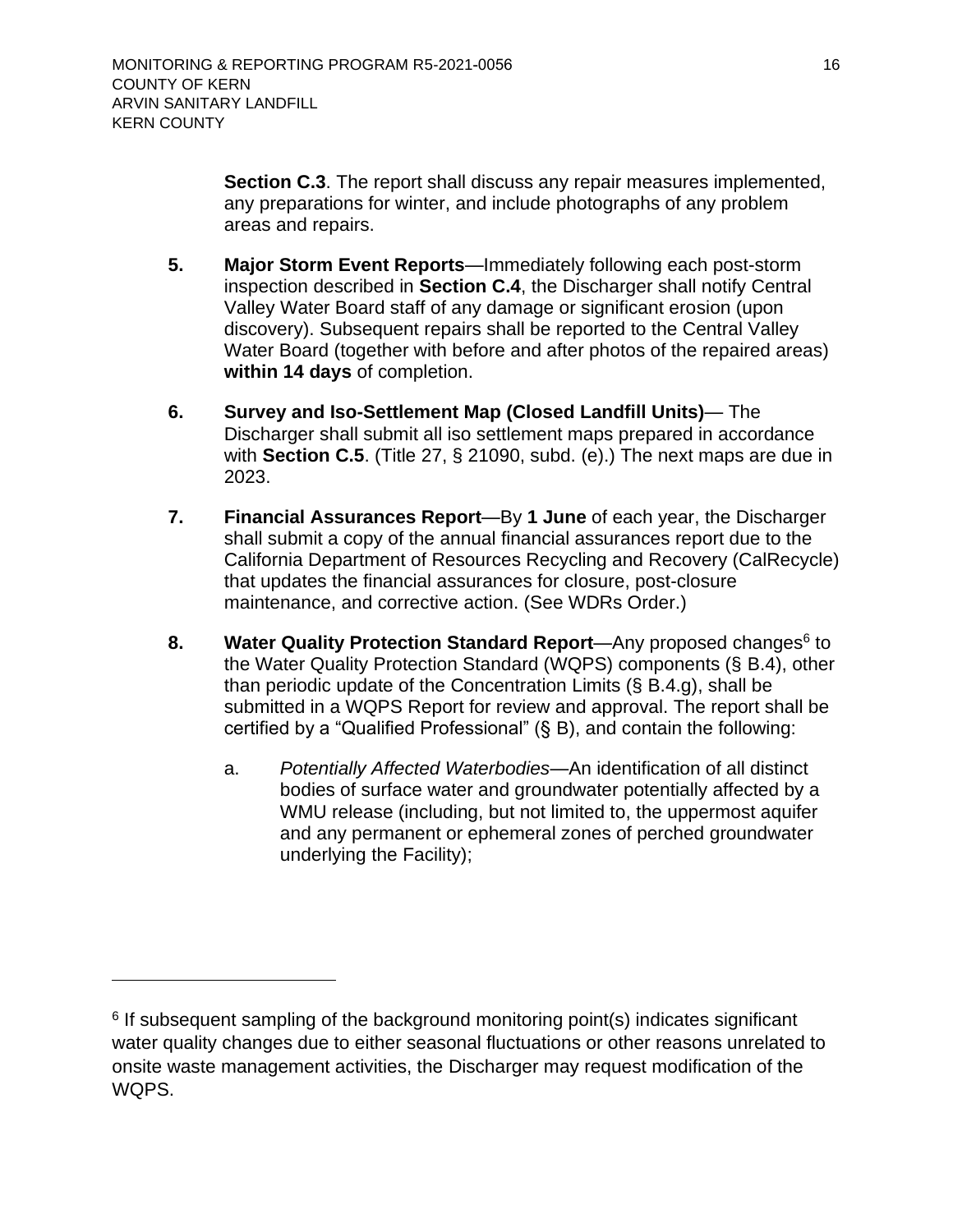**Section [C.3](#page-20-0)**. The report shall discuss any repair measures implemented, any preparations for winter, and include photographs of any problem areas and repairs.

- <span id="page-25-0"></span>**5. Major Storm Event Reports**—Immediately following each post-storm inspection described in **Section [C.4](#page-20-1)**, the Discharger shall notify Central Valley Water Board staff of any damage or significant erosion (upon discovery). Subsequent repairs shall be reported to the Central Valley Water Board (together with before and after photos of the repaired areas) **within 14 days** of completion.
- <span id="page-25-1"></span>**6. Survey and Iso-Settlement Map (Closed Landfill Units)**— The Discharger shall submit all iso settlement maps prepared in accordance with **Section [C.5](#page-20-2)**. (Title 27, § 21090, subd. (e).) The next maps are due in 2023.
- <span id="page-25-2"></span>**7. Financial Assurances Report**—By **1 June** of each year, the Discharger shall submit a copy of the annual financial assurances report due to the California Department of Resources Recycling and Recovery (CalRecycle) that updates the financial assurances for closure, post-closure maintenance, and corrective action. (See WDRs Order.)
- <span id="page-25-3"></span>8. Water Quality Protection Standard Report—Any proposed changes<sup>6</sup> to the Water Quality Protection Standard (WQPS) components (§ [B.4\)](#page-15-2), other than periodic update of the Concentration Limits (§ [B.4.g\)](#page-16-3), shall be submitted in a WQPS Report for review and approval. The report shall be certified by a "Qualified Professional" (§ [B\)](#page-11-0), and contain the following:
	- a. *Potentially Affected Waterbodies*—An identification of all distinct bodies of surface water and groundwater potentially affected by a WMU release (including, but not limited to, the uppermost aquifer and any permanent or ephemeral zones of perched groundwater underlying the Facility);

<sup>&</sup>lt;sup>6</sup> If subsequent sampling of the background monitoring point(s) indicates significant water quality changes due to either seasonal fluctuations or other reasons unrelated to onsite waste management activities, the Discharger may request modification of the WQPS.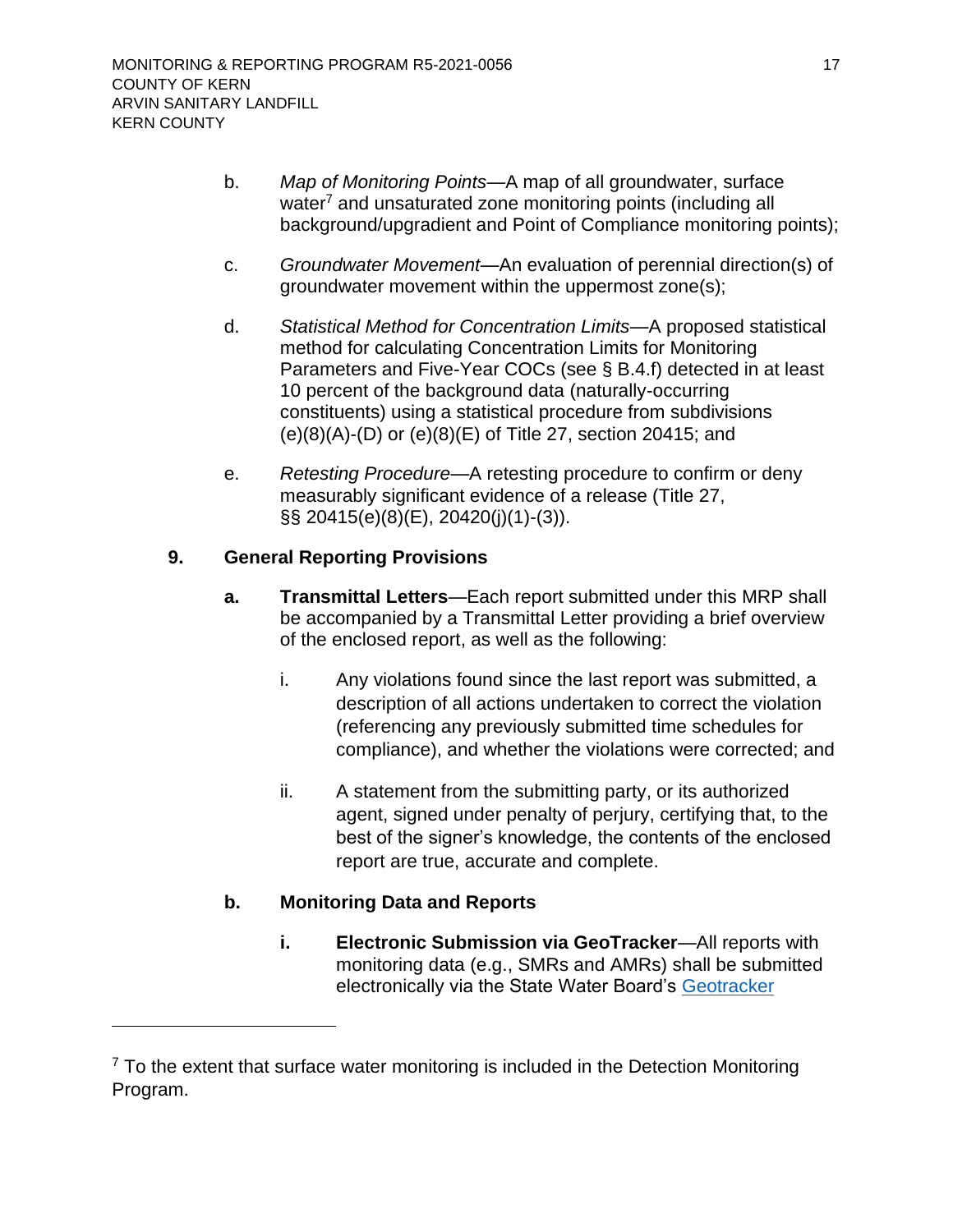- b. *Map of Monitoring Points*—A map of all groundwater, surface water<sup>7</sup> and unsaturated zone monitoring points (including all background/upgradient and Point of Compliance monitoring points);
- c. *Groundwater Movement*—An evaluation of perennial direction(s) of groundwater movement within the uppermost zone(s);
- d. *Statistical Method for Concentration Limits*—A proposed statistical method for calculating Concentration Limits for Monitoring Parameters and Five-Year COCs (see § [B.4.f\)](#page-16-2) detected in at least 10 percent of the background data (naturally-occurring constituents) using a statistical procedure from subdivisions (e)(8)(A)-(D) or (e)(8)(E) of Title 27, section 20415; and
- e. *Retesting Procedure*—A retesting procedure to confirm or deny measurably significant evidence of a release (Title 27, §§ 20415(e)(8)(E), 20420(j)(1)-(3)).

### <span id="page-26-1"></span><span id="page-26-0"></span>**9. General Reporting Provisions**

- **a. Transmittal Letters**—Each report submitted under this MRP shall be accompanied by a Transmittal Letter providing a brief overview of the enclosed report, as well as the following:
	- i. Any violations found since the last report was submitted, a description of all actions undertaken to correct the violation (referencing any previously submitted time schedules for compliance), and whether the violations were corrected; and
	- ii. A statement from the submitting party, or its authorized agent, signed under penalty of perjury, certifying that, to the best of the signer's knowledge, the contents of the enclosed report are true, accurate and complete.

### <span id="page-26-2"></span>**b. Monitoring Data and Reports**

**i. Electronic Submission via GeoTracker**—All reports with monitoring data (e.g., SMRs and AMRs) shall be submitted electronically via the State Water Board's [Geotracker](mailto:https://geotracker.waterboards.ca.gov)

 $7$  To the extent that surface water monitoring is included in the Detection Monitoring Program.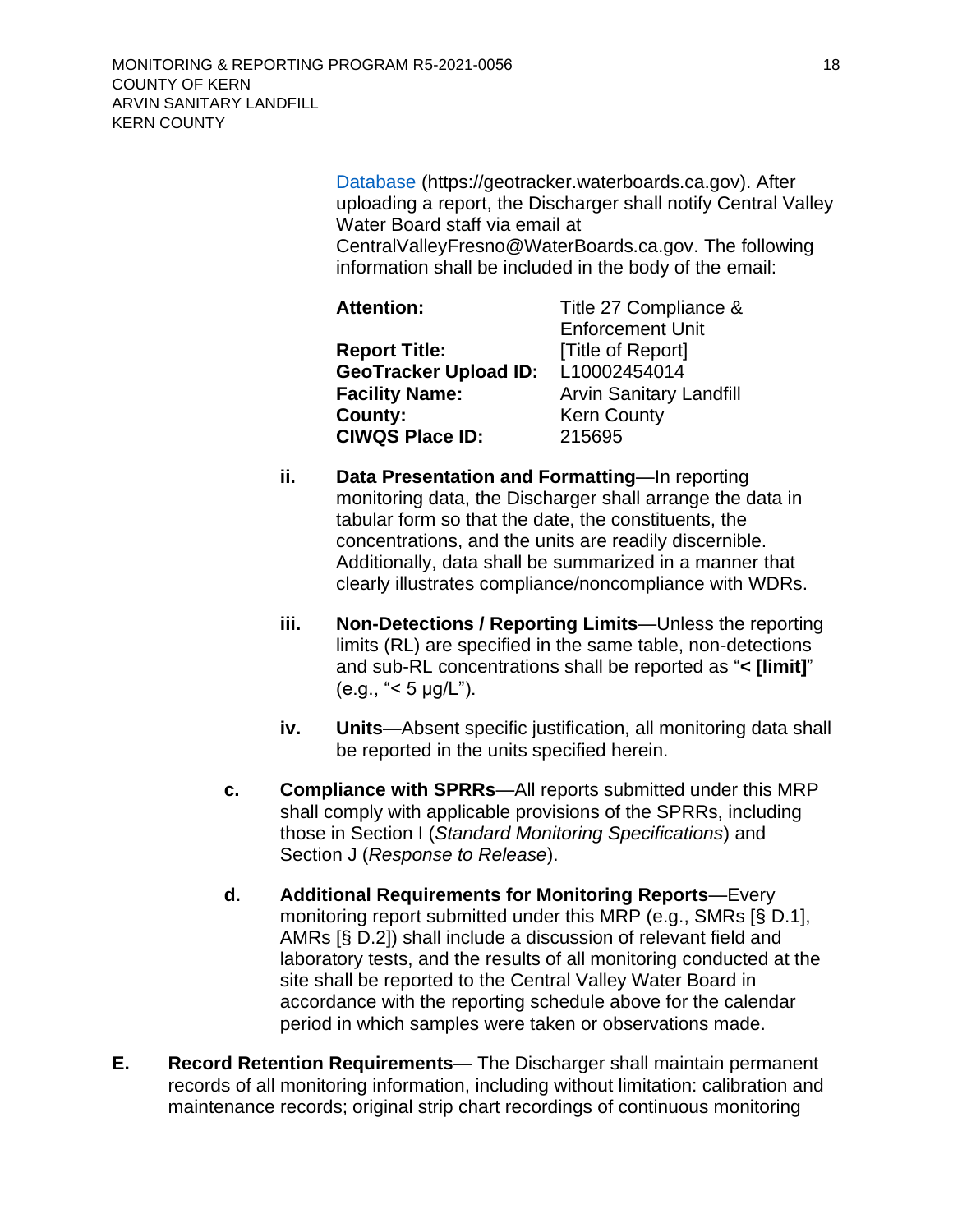[Database](mailto:https://geotracker.waterboards.ca.gov) (https://geotracker.waterboards.ca.gov). After uploading a report, the [Discharger](#page-10-6) shall notify Central Valley Water Board staff via email at

CentralValleyFresno@WaterBoards.ca.gov. The following information shall be included in the body of the email:

| Title 27 Compliance &          |
|--------------------------------|
| <b>Enforcement Unit</b>        |
| [Title of Report]              |
| L10002454014                   |
| <b>Arvin Sanitary Landfill</b> |
| <b>Kern County</b>             |
|                                |
|                                |

- **ii. Data Presentation and Formatting**—In reporting monitoring data, the [Discharger](#page-10-6) shall arrange the data in tabular form so that the date, the constituents, the concentrations, and the units are readily discernible. Additionally, data shall be summarized in a manner that clearly illustrates compliance/noncompliance with WDRs.
- **iii. Non-Detections / Reporting Limits**—Unless the reporting limits (RL) are specified in the same table, non-detections and sub-RL concentrations shall be reported as "**< [limit]**" (e.g., "< 5 µg/L").
- **iv. Units**—Absent specific justification, all monitoring data shall be reported in the units specified herein.
- <span id="page-27-0"></span>**c. Compliance with SPRRs**—All reports submitted under this MRP shall comply with applicable provisions of the SPRRs, including those in Section I (*Standard Monitoring Specifications*) and Section J (*Response to Release*).
- <span id="page-27-1"></span>**d. Additional Requirements for Monitoring Reports**—Every monitoring report submitted under this MRP (e.g., SMRs [§ [D.1\]](#page-22-0), AMRs [§ [D.2\]](#page-23-0)) shall include a discussion of relevant field and laboratory tests, and the results of all monitoring conducted at the site shall be reported to the Central Valley Water Board in accordance with the reporting schedule above for the calendar period in which samples were taken or observations made.
- <span id="page-27-2"></span>**E. Record Retention Requirements**— The Discharger shall maintain permanent records of all monitoring information, including without limitation: calibration and maintenance records; original strip chart recordings of continuous monitoring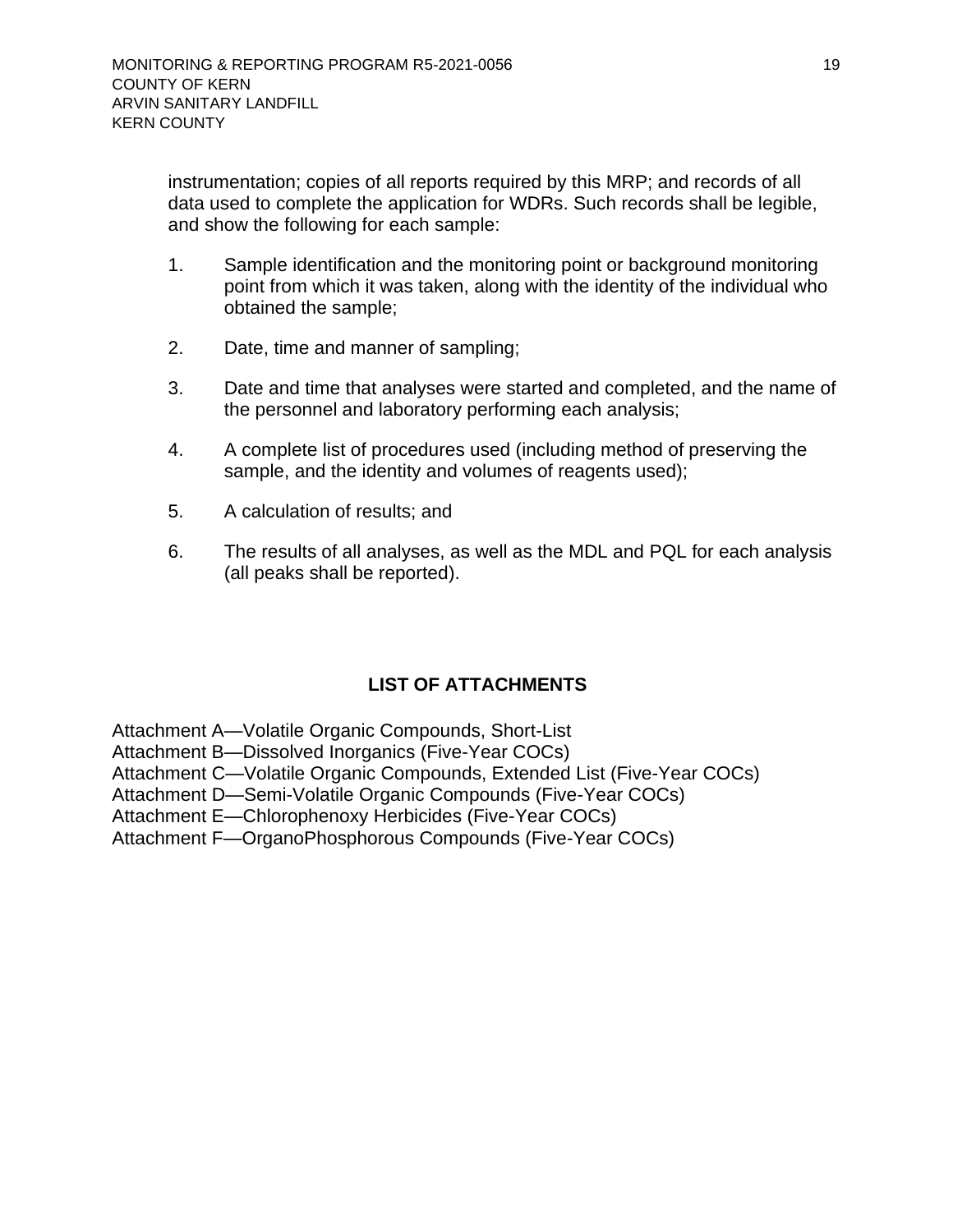instrumentation; copies of all reports required by this MRP; and records of all data used to complete the application for WDRs. Such records shall be legible, and show the following for each sample:

- 1. Sample identification and the monitoring point or background monitoring point from which it was taken, along with the identity of the individual who obtained the sample;
- 2. Date, time and manner of sampling;
- 3. Date and time that analyses were started and completed, and the name of the personnel and laboratory performing each analysis;
- 4. A complete list of procedures used (including method of preserving the sample, and the identity and volumes of reagents used);
- 5. A calculation of results; and
- 6. The results of all analyses, as well as the MDL and PQL for each analysis (all peaks shall be reported).

### **LIST OF ATTACHMENTS**

Attachment A—Volatile Organic Compounds, Short-List

Attachment B—Dissolved Inorganics (Five-Year COCs)

Attachment C—Volatile Organic Compounds, Extended List (Five-Year COCs)

Attachment D—Semi-Volatile Organic Compounds (Five-Year COCs)

Attachment E—Chlorophenoxy Herbicides (Five-Year COCs)

Attachment F—OrganoPhosphorous Compounds (Five-Year COCs)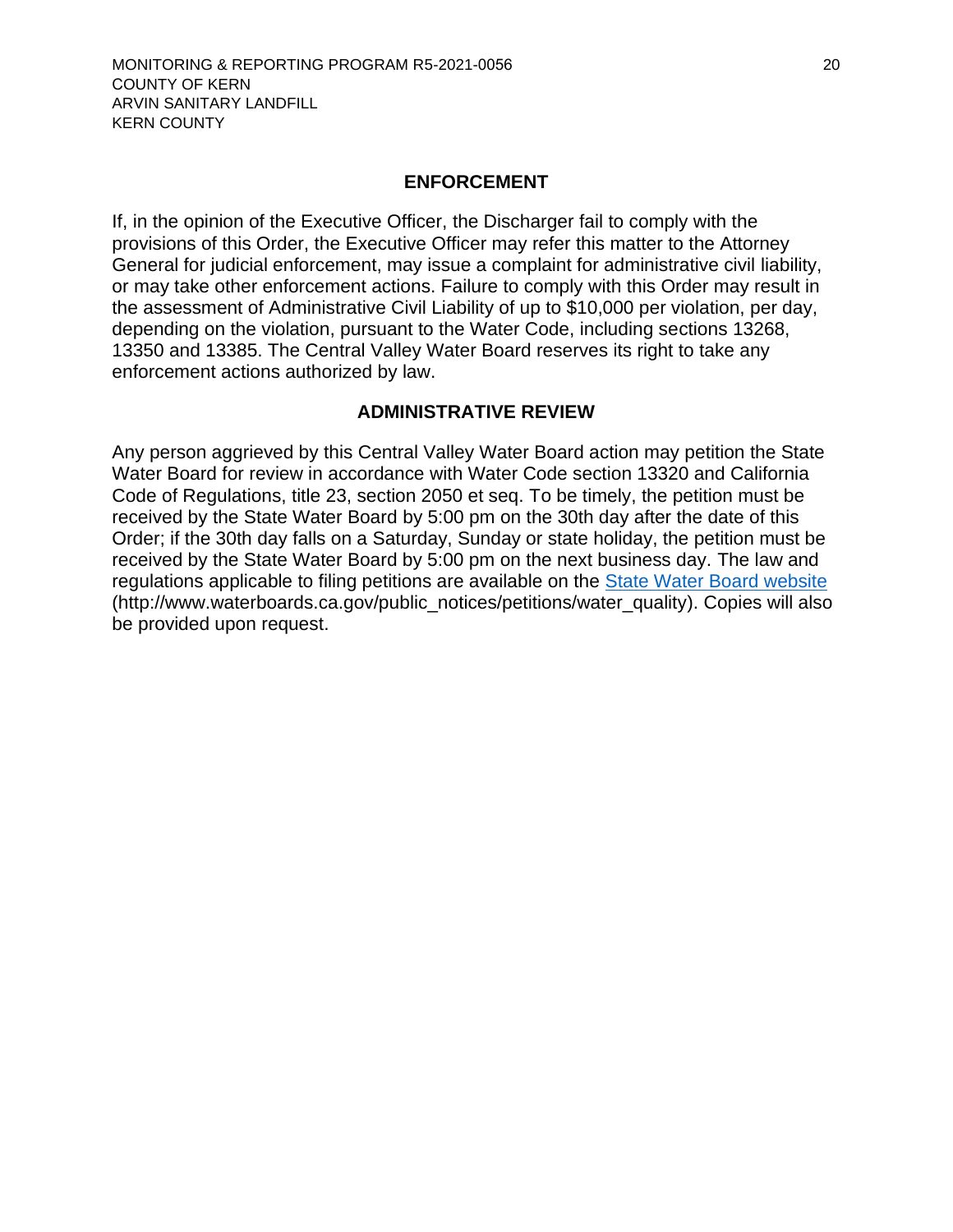#### **ENFORCEMENT**

If, in the opinion of the Executive Officer, the [Discharger](#page-10-6) fail to comply with the provisions of this Order, the Executive Officer may refer this matter to the Attorney General for judicial enforcement, may issue a complaint for administrative civil liability, or may take other enforcement actions. Failure to comply with this Order may result in the assessment of Administrative Civil Liability of up to \$10,000 per violation, per day, depending on the violation, pursuant to the Water Code, including sections 13268, 13350 and 13385. The Central Valley Water Board reserves its right to take any enforcement actions authorized by law.

#### **ADMINISTRATIVE REVIEW**

Any person aggrieved by this Central Valley Water Board action may petition the State Water Board for review in accordance with Water Code section 13320 and California Code of Regulations, title 23, section 2050 et seq. To be timely, the petition must be received by the State Water Board by 5:00 pm on the 30th day after the date of this Order; if the 30th day falls on a Saturday, Sunday or state holiday, the petition must be received by the State Water Board by 5:00 pm on the next business day. The law and regulations applicable to filing petitions are available on the [State Water Board website](http://www.waterboards.ca.gov/public_notices/petitions/water_quality) (http://www.waterboards.ca.gov/public\_notices/petitions/water\_quality). Copies will also be provided upon request.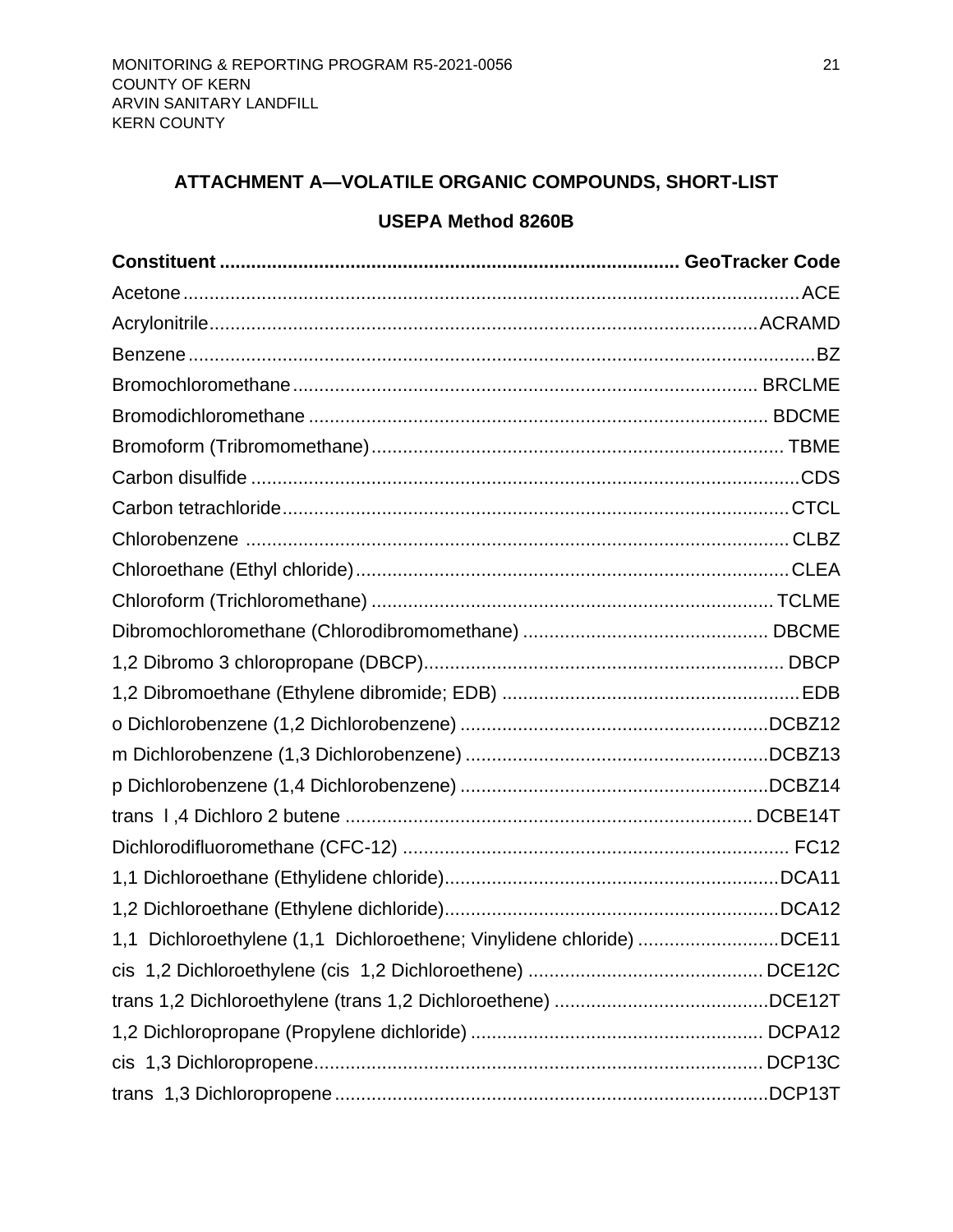### <span id="page-30-0"></span>**ATTACHMENT A—VOLATILE ORGANIC COMPOUNDS, SHORT-LIST**

### **USEPA Method 8260B**

| 1,1 Dichloroethylene (1,1 Dichloroethene; Vinylidene chloride) DCE11 |  |
|----------------------------------------------------------------------|--|
|                                                                      |  |
|                                                                      |  |
|                                                                      |  |
|                                                                      |  |
|                                                                      |  |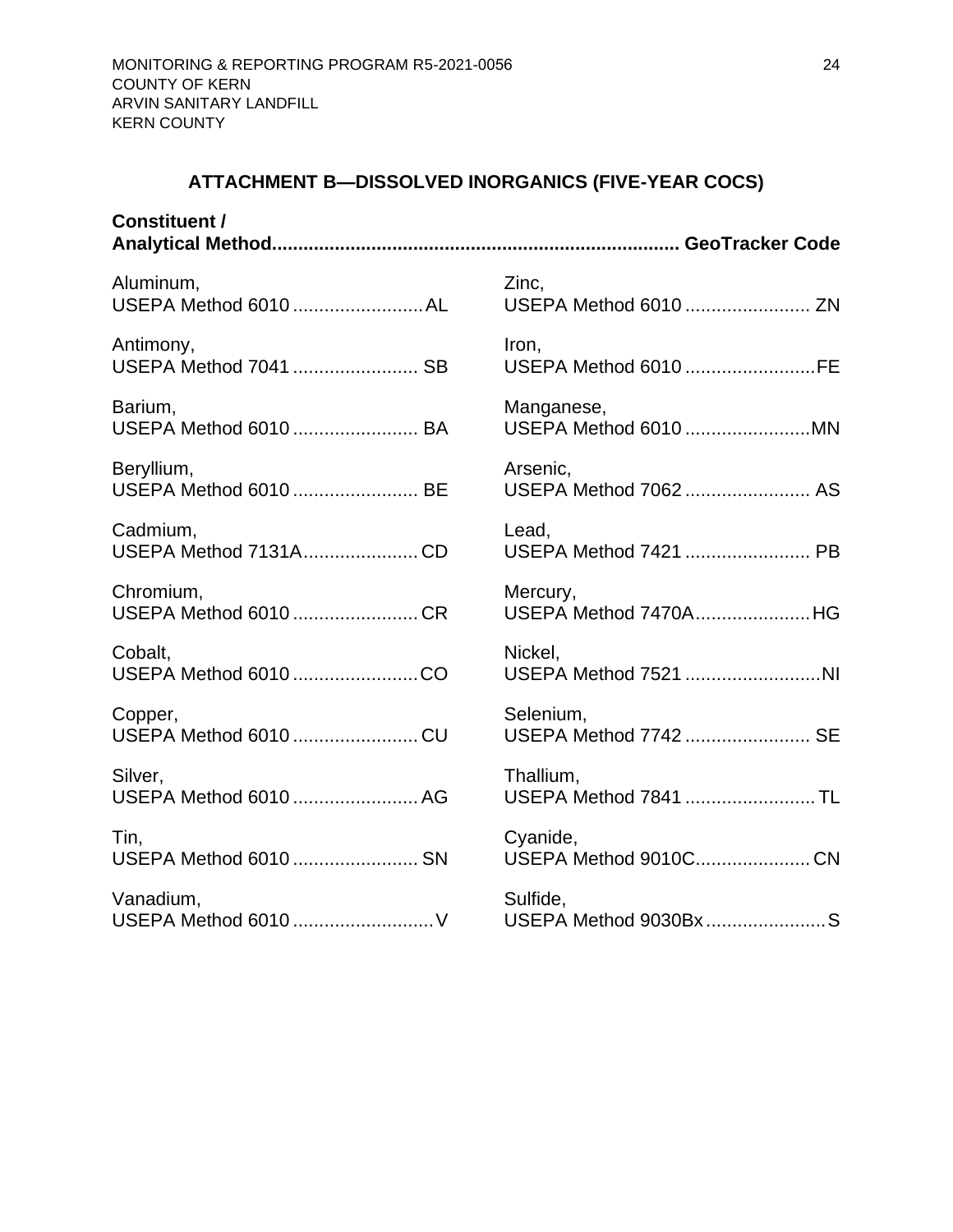# **ATTACHMENT B—DISSOLVED INORGANICS (FIVE-YEAR COCS)**

<span id="page-33-0"></span>

| <b>Constituent /</b>  |                       |
|-----------------------|-----------------------|
| Aluminum,             | Zinc,                 |
| USEPA Method 6010 AL  | USEPA Method 6010  ZN |
| Antimony,             | Iron,                 |
| USEPA Method 7041  SB | USEPA Method 6010 FE  |
| Barium,               | Manganese,            |
| USEPA Method 6010  BA | USEPA Method 6010 MN  |
| Beryllium,            | Arsenic,              |
| USEPA Method 6010  BE | USEPA Method 7062  AS |
| Cadmium,              | Lead,                 |
| USEPA Method 7131ACD  | USEPA Method 7421  PB |
| Chromium,             | Mercury,              |
| USEPA Method 6010 CR  | USEPA Method 7470AHG  |
| Cobalt,               | Nickel,               |
| USEPA Method 6010 CO  | USEPA Method 7521 NI  |
| Copper,               | Selenium,             |
| USEPA Method 6010 CU  | USEPA Method 7742  SE |
| Silver,               | Thallium,             |
| USEPA Method 6010  AG | USEPA Method 7841  TL |
| Tin,                  | Cyanide,              |
| USEPA Method 6010  SN | USEPA Method 9010CCN  |
| Vanadium,             | Sulfide,              |
|                       | USEPA Method 9030Bx S |
|                       |                       |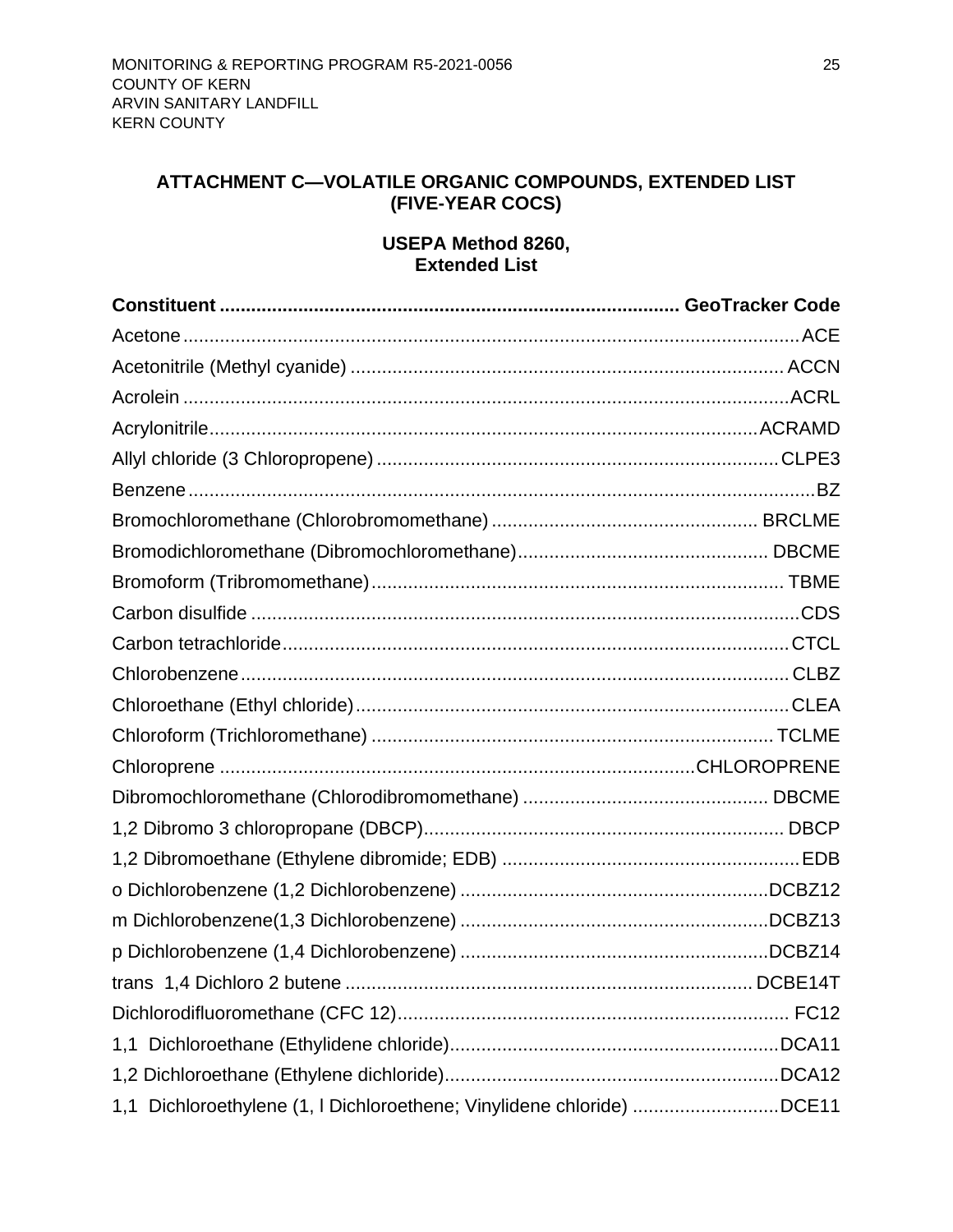### <span id="page-34-0"></span>**ATTACHMENT C—VOLATILE ORGANIC COMPOUNDS, EXTENDED LIST (FIVE-YEAR COCS)**

### **USEPA Method 8260, Extended List**

| 1,1 Dichloroethylene (1, I Dichloroethene; Vinylidene chloride) DCE11 |  |
|-----------------------------------------------------------------------|--|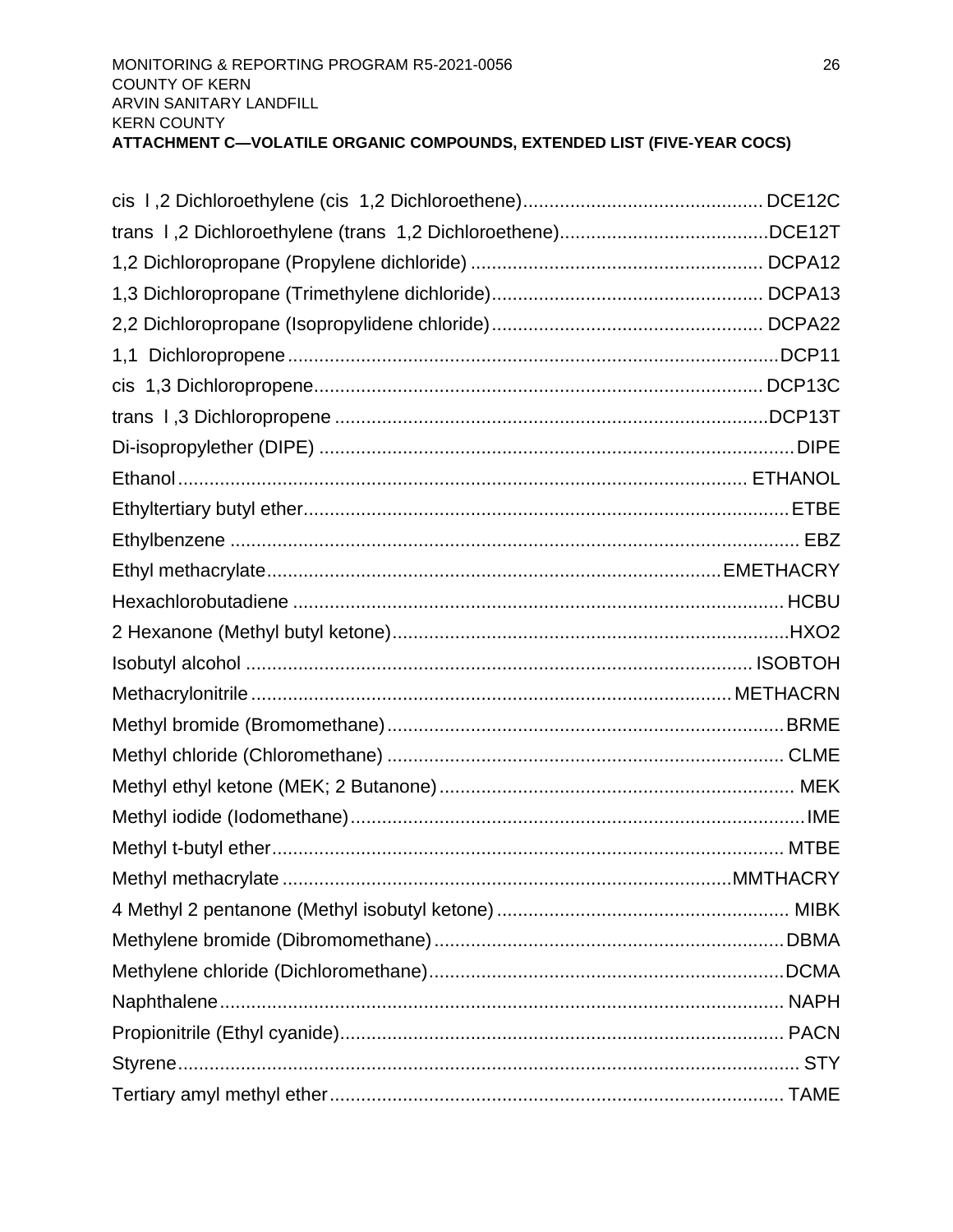| 1,1 |  |
|-----|--|
|     |  |
|     |  |
|     |  |
|     |  |
|     |  |
|     |  |
|     |  |
|     |  |
|     |  |
|     |  |
|     |  |
|     |  |
|     |  |
|     |  |
|     |  |
|     |  |
|     |  |
|     |  |
|     |  |
|     |  |
|     |  |
|     |  |
|     |  |
|     |  |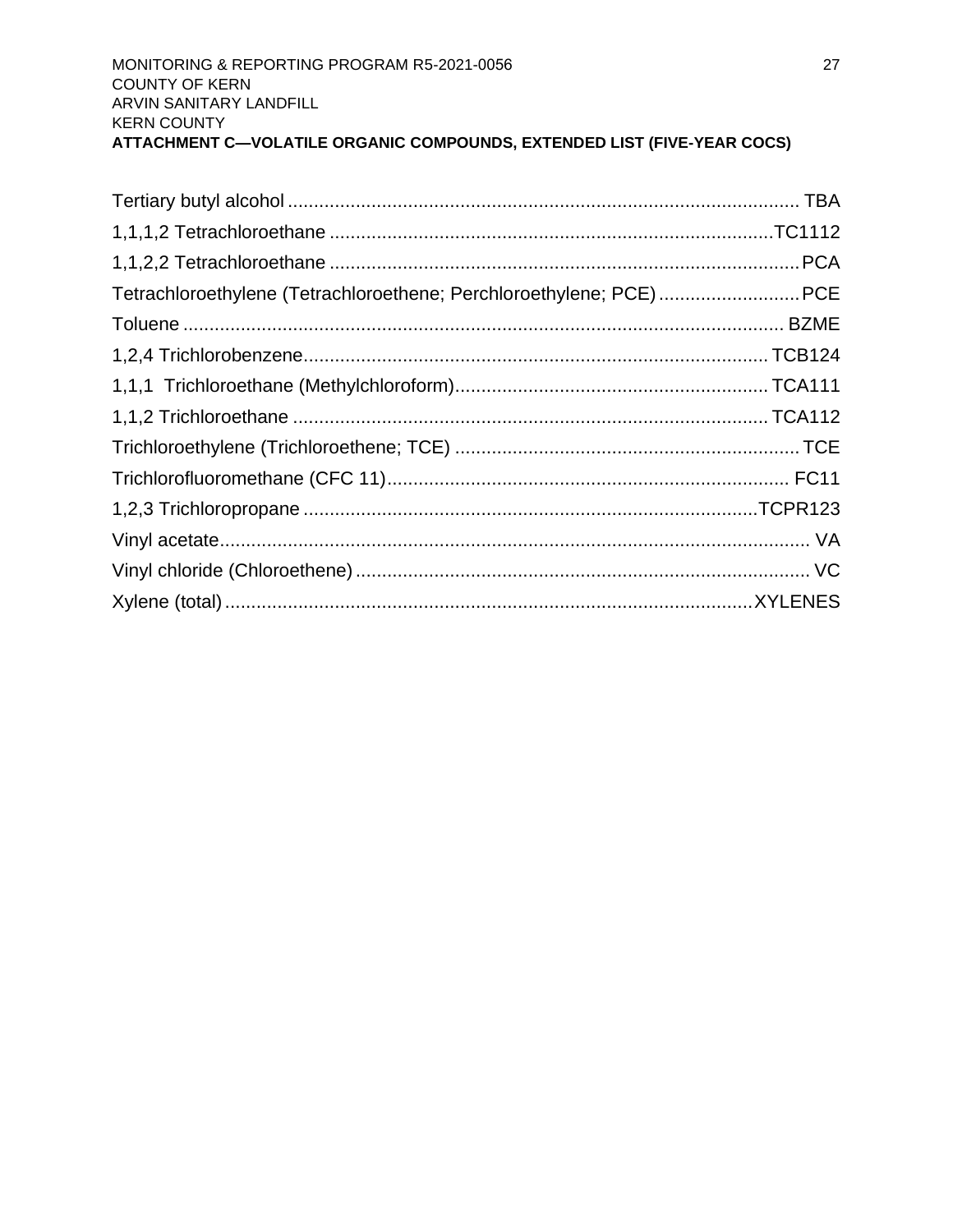| Tetrachloroethylene (Tetrachloroethene; Perchloroethylene; PCE)PCE |  |
|--------------------------------------------------------------------|--|
|                                                                    |  |
|                                                                    |  |
|                                                                    |  |
|                                                                    |  |
|                                                                    |  |
|                                                                    |  |
|                                                                    |  |
|                                                                    |  |
|                                                                    |  |
|                                                                    |  |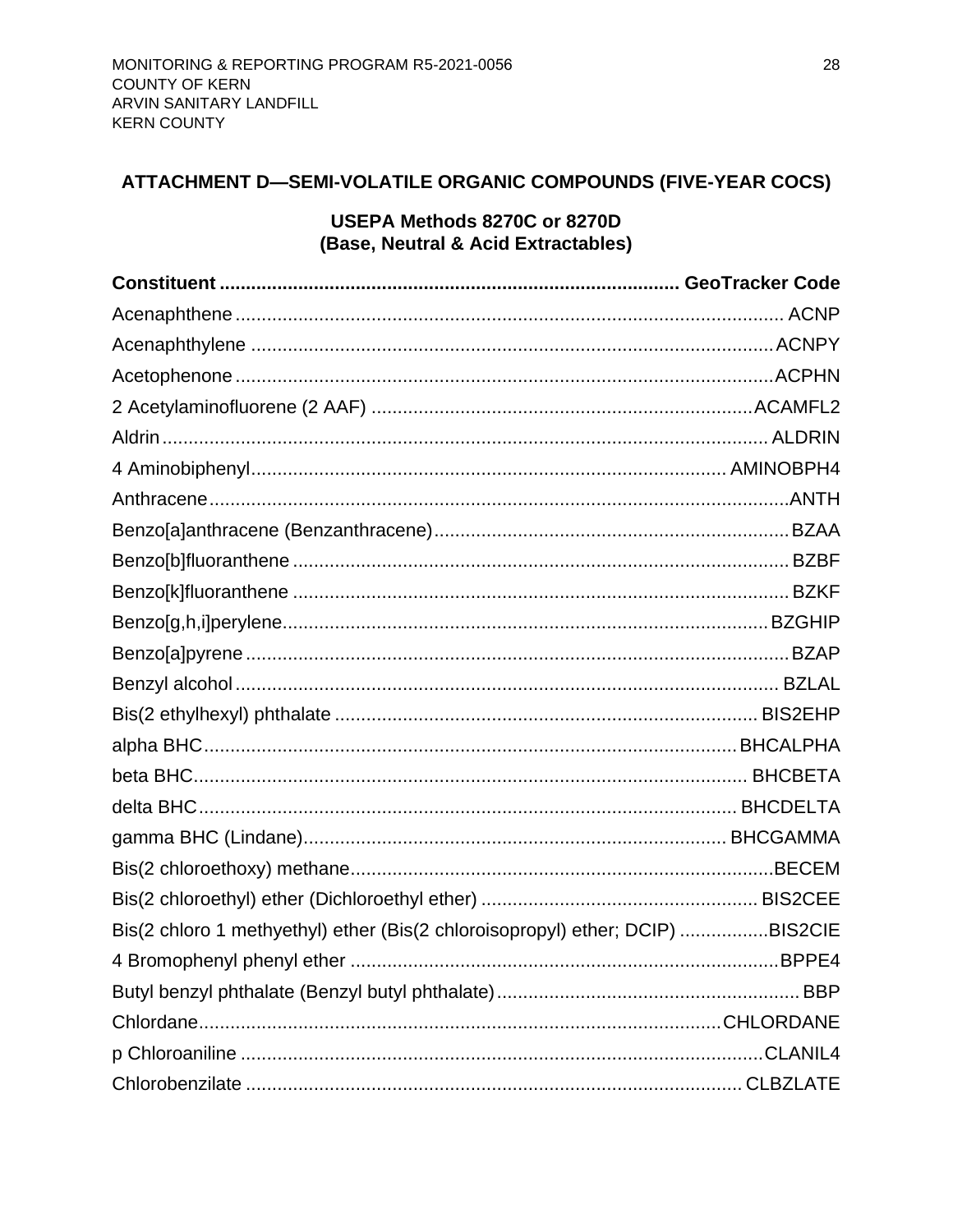### <span id="page-37-0"></span>ATTACHMENT D-SEMI-VOLATILE ORGANIC COMPOUNDS (FIVE-YEAR COCS)

### USEPA Methods 8270C or 8270D (Base, Neutral & Acid Extractables)

| Bis(2 chloro 1 methyethyl) ether (Bis(2 chloroisopropyl) ether; DCIP) BIS2CIE |  |
|-------------------------------------------------------------------------------|--|
|                                                                               |  |
|                                                                               |  |
|                                                                               |  |
|                                                                               |  |
|                                                                               |  |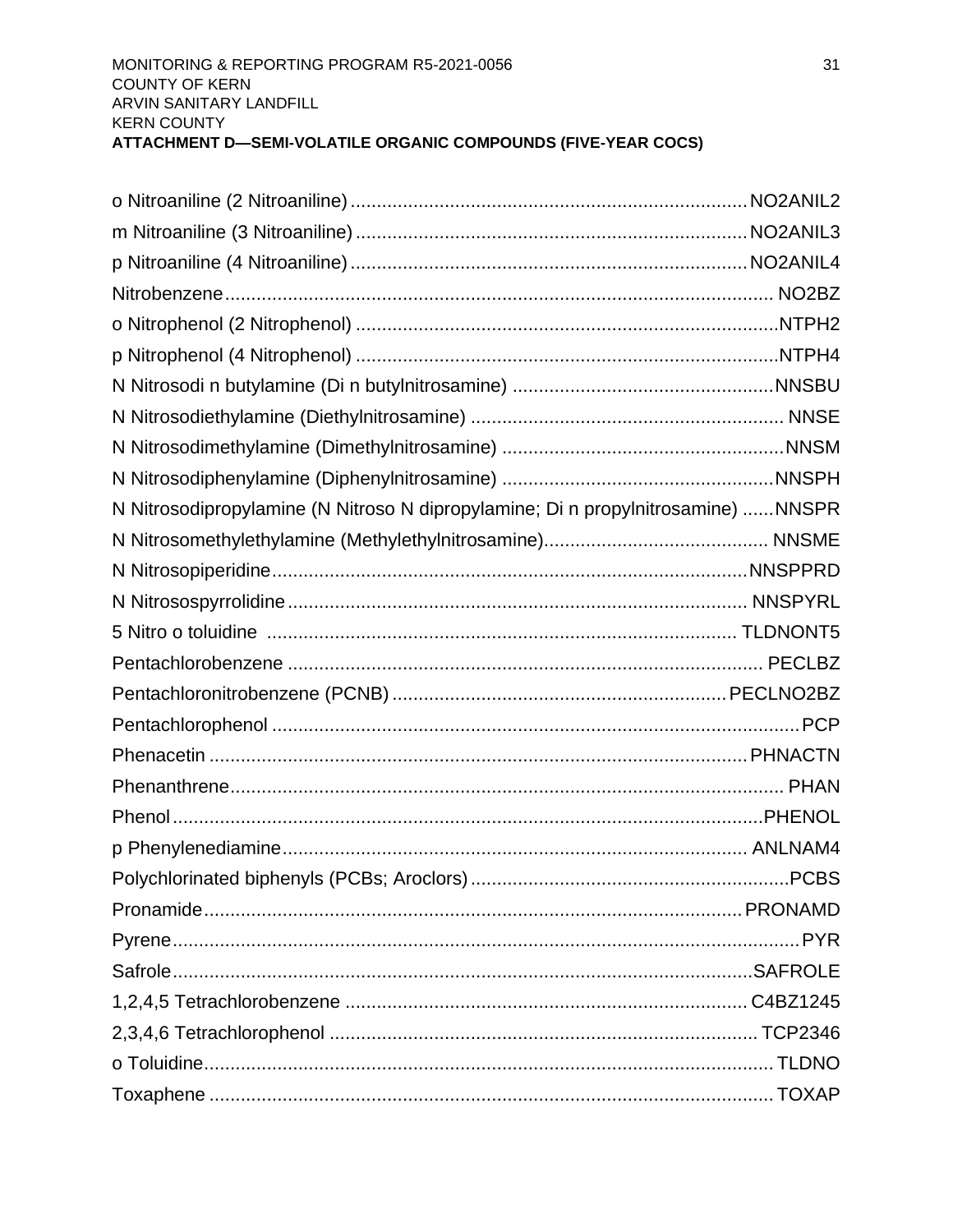| N Nitrosodipropylamine (N Nitroso N dipropylamine; Di n propylnitrosamine) NNSPR |       |
|----------------------------------------------------------------------------------|-------|
|                                                                                  |       |
|                                                                                  |       |
|                                                                                  |       |
|                                                                                  |       |
|                                                                                  |       |
|                                                                                  |       |
|                                                                                  |       |
|                                                                                  |       |
|                                                                                  |       |
|                                                                                  |       |
|                                                                                  |       |
|                                                                                  | .PCBS |
|                                                                                  |       |
|                                                                                  |       |
|                                                                                  |       |
|                                                                                  |       |
|                                                                                  |       |
|                                                                                  |       |
|                                                                                  |       |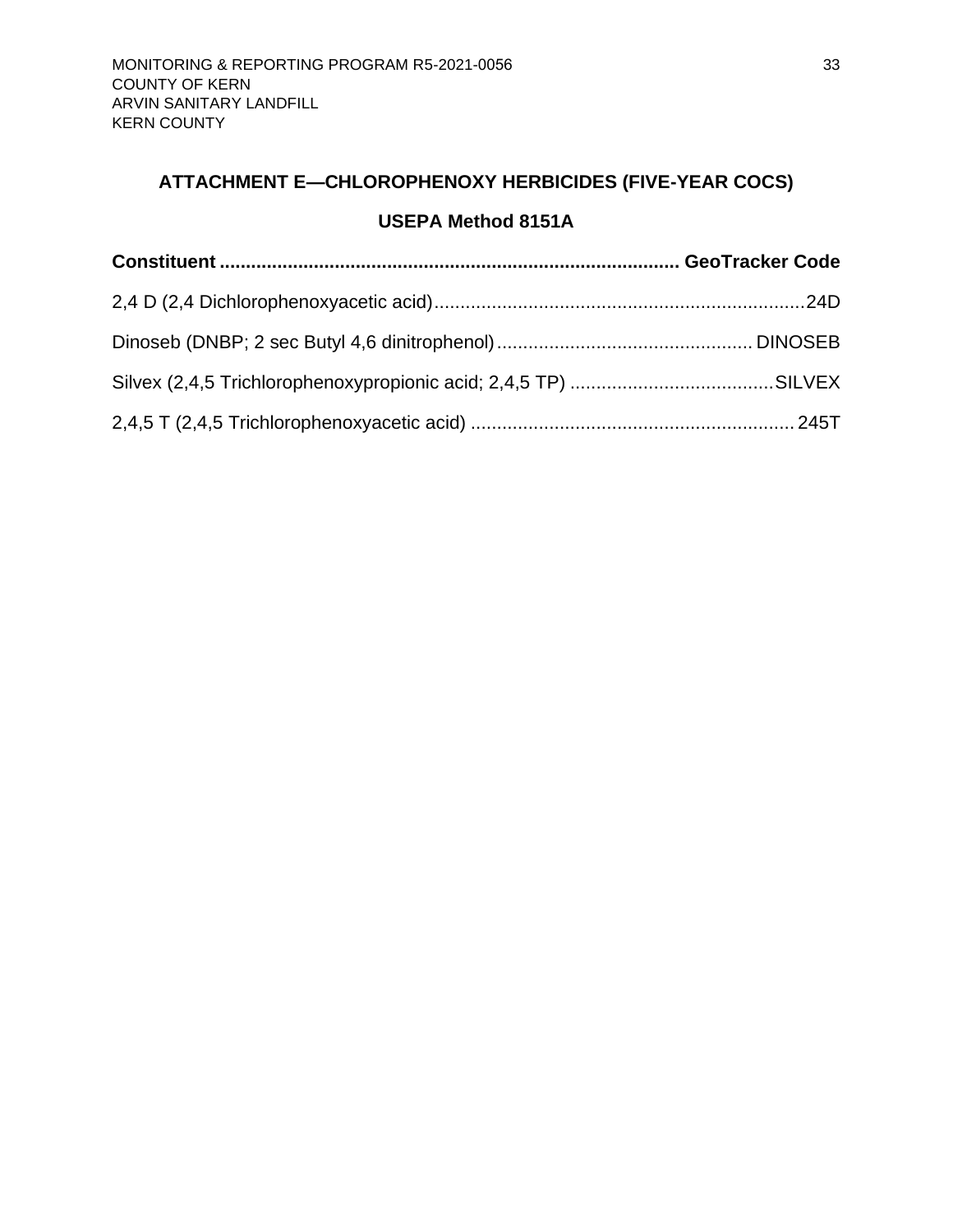# <span id="page-42-0"></span>**ATTACHMENT E—CHLOROPHENOXY HERBICIDES (FIVE-YEAR COCS)**

### **USEPA Method 8151A**